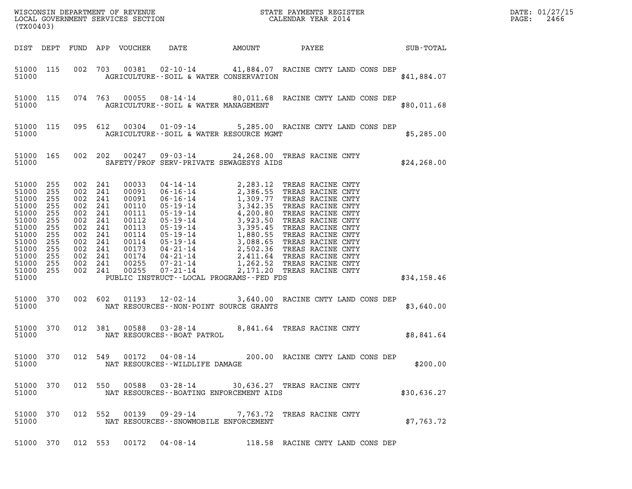| (TX00403)                                                                                                                                                                                                                                                                                                                                                                                                                                                                                                                                 | WISCONSIN DEPARTMENT OF REVENUE<br>LOCAL GOVERNMENT SERVICES SECTION CALENDAR YEAR 2014                                                                                                                                                                                                                                                    | DATE: 01/27/15<br>2466<br>PAGE: |
|-------------------------------------------------------------------------------------------------------------------------------------------------------------------------------------------------------------------------------------------------------------------------------------------------------------------------------------------------------------------------------------------------------------------------------------------------------------------------------------------------------------------------------------------|--------------------------------------------------------------------------------------------------------------------------------------------------------------------------------------------------------------------------------------------------------------------------------------------------------------------------------------------|---------------------------------|
| DIST DEPT<br>FUND APP VOUCHER<br>DATE                                                                                                                                                                                                                                                                                                                                                                                                                                                                                                     | AMOUNT<br>PAYEE SUB-TOTAL                                                                                                                                                                                                                                                                                                                  |                                 |
| 51000 115<br>002<br>703<br>00381<br>51000                                                                                                                                                                                                                                                                                                                                                                                                                                                                                                 | 02-10-14 41,884.07 RACINE CNTY LAND CONS DEP<br>AGRICULTURE -- SOIL & WATER CONSERVATION                                                                                                                                                                                                                                                   | \$41,884.07                     |
| 51000 115<br>074 763<br>51000                                                                                                                                                                                                                                                                                                                                                                                                                                                                                                             | 00055 08-14-14 80,011.68 RACINE CNTY LAND CONS DEP<br>AGRICULTURE -- SOIL & WATER MANAGEMENT                                                                                                                                                                                                                                               | \$80,011.68                     |
| 51000 115<br>095 612<br>51000                                                                                                                                                                                                                                                                                                                                                                                                                                                                                                             | 00304  01-09-14  5,285.00 RACINE CNTY LAND CONS DEP<br>AGRICULTURE--SOIL & WATER RESOURCE MGMT                                                                                                                                                                                                                                             | \$5,285.00                      |
| 51000 165<br>002 202<br>51000                                                                                                                                                                                                                                                                                                                                                                                                                                                                                                             | 00247  09-03-14  24, 268.00  TREAS RACINE CNTY<br>SAFETY/PROF SERV-PRIVATE SEWAGESYS AIDS                                                                                                                                                                                                                                                  | \$24, 268.00                    |
| 51000<br>255<br>241<br>00033<br>002<br>51000<br>255<br>002<br>241<br>00091<br>51000<br>255<br>002<br>241<br>00091<br>51000<br>255<br>002<br>241<br>00110<br>51000<br>255<br>002<br>241<br>00111<br>51000<br>255<br>002<br>241<br>00112<br>51000<br>255<br>002<br>241<br>00113<br>51000<br>255<br>002<br>241<br>00114<br>51000<br>255<br>002<br>241<br>00114<br>51000<br>255<br>002<br>241<br>00173<br>51000<br>255<br>002<br>241<br>00174<br>51000<br>255<br>002 241<br>00255<br>$07 - 21 - 14$<br>51000 255<br>002 241<br>00255<br>51000 | 04-14-14<br>06-16-14<br>2, 283.12<br>2, 386.55<br>TREAS RACINE CNTY<br>06-16-14<br>1, 309.77<br>TREAS RACINE CNTY<br>05-19-14<br>4, 200.80<br>TREAS RACINE CNTY<br>05-19-14<br>3, 923.50<br>TREAS RACINE CNTY<br>05-19-14<br>1, 880.55<br>TREAS RACINE CNTY<br>0<br>2,171.20 TREAS RACINE CNTY<br>PUBLIC INSTRUCT--LOCAL PROGRAMS--FED FDS | \$34,158.46                     |
| 51000 370<br>002 602<br>$01193$ $12-02-14$<br>51000                                                                                                                                                                                                                                                                                                                                                                                                                                                                                       | 3,640.00 RACINE CNTY LAND CONS DEP<br>NAT RESOURCES - - NON-POINT SOURCE GRANTS                                                                                                                                                                                                                                                            | \$3,640.00                      |
| 51000 370<br>012 381<br>00588 03-28-14<br>51000<br>NAT RESOURCES - - BOAT PATROL                                                                                                                                                                                                                                                                                                                                                                                                                                                          | 8,841.64 TREAS RACINE CNTY                                                                                                                                                                                                                                                                                                                 | \$8,841.64                      |
| 51000 370<br>51000<br>NAT RESOURCES - - WILDLIFE DAMAGE                                                                                                                                                                                                                                                                                                                                                                                                                                                                                   | 012 549 00172 04-08-14 200.00 RACINE CNTY LAND CONS DEP                                                                                                                                                                                                                                                                                    | \$200.00                        |
| 51000 370<br>51000                                                                                                                                                                                                                                                                                                                                                                                                                                                                                                                        | 012 550 00588 03-28-14 30,636.27 TREAS RACINE CNTY<br>NAT RESOURCES - - BOATING ENFORCEMENT AIDS                                                                                                                                                                                                                                           | \$30,636.27                     |
| 51000 370<br>51000                                                                                                                                                                                                                                                                                                                                                                                                                                                                                                                        | 012 552 00139 09-29-14 7,763.72 TREAS RACINE CNTY<br>NAT RESOURCES - - SNOWMOBILE ENFORCEMENT                                                                                                                                                                                                                                              | \$7,763.72                      |
| 51000 370<br>012 553<br>00172  04-08-14                                                                                                                                                                                                                                                                                                                                                                                                                                                                                                   | 118.58 RACINE CNTY LAND CONS DEP                                                                                                                                                                                                                                                                                                           |                                 |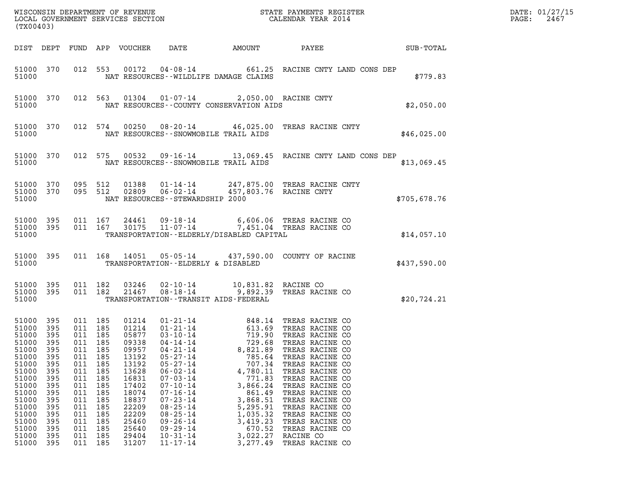| (TX00403)                                                                                                                                                      |                                                                                                                            |                                                                                                                      |                                                                                                                      |                                                                                                                                                                |                                                                                                                                                                                                                                                                                                                |                                                                                                                                                                                                    |                                                                                                                                                                                                                                                                                                                                              |              | DATE: 01/27/15<br>PAGE:<br>2467 |
|----------------------------------------------------------------------------------------------------------------------------------------------------------------|----------------------------------------------------------------------------------------------------------------------------|----------------------------------------------------------------------------------------------------------------------|----------------------------------------------------------------------------------------------------------------------|----------------------------------------------------------------------------------------------------------------------------------------------------------------|----------------------------------------------------------------------------------------------------------------------------------------------------------------------------------------------------------------------------------------------------------------------------------------------------------------|----------------------------------------------------------------------------------------------------------------------------------------------------------------------------------------------------|----------------------------------------------------------------------------------------------------------------------------------------------------------------------------------------------------------------------------------------------------------------------------------------------------------------------------------------------|--------------|---------------------------------|
| DIST DEPT                                                                                                                                                      |                                                                                                                            |                                                                                                                      |                                                                                                                      | FUND APP VOUCHER                                                                                                                                               | DATE                                                                                                                                                                                                                                                                                                           | AMOUNT                                                                                                                                                                                             | PAYEE                                                                                                                                                                                                                                                                                                                                        | SUB-TOTAL    |                                 |
| 51000 370<br>51000                                                                                                                                             |                                                                                                                            |                                                                                                                      | 012 553                                                                                                              | 00172                                                                                                                                                          |                                                                                                                                                                                                                                                                                                                | NAT RESOURCES -- WILDLIFE DAMAGE CLAIMS                                                                                                                                                            | 04-08-14 661.25 RACINE CNTY LAND CONS DEP                                                                                                                                                                                                                                                                                                    | \$779.83     |                                 |
| 51000                                                                                                                                                          | 51000 370                                                                                                                  |                                                                                                                      | 012 563                                                                                                              |                                                                                                                                                                |                                                                                                                                                                                                                                                                                                                | 01304  01-07-14  2,050.00 RACINE CNTY<br>NAT RESOURCES - COUNTY CONSERVATION AIDS                                                                                                                  |                                                                                                                                                                                                                                                                                                                                              | \$2,050.00   |                                 |
| 51000                                                                                                                                                          | 51000 370                                                                                                                  |                                                                                                                      | 012 574                                                                                                              | 00250                                                                                                                                                          |                                                                                                                                                                                                                                                                                                                | NAT RESOURCES - - SNOWMOBILE TRAIL AIDS                                                                                                                                                            | 08-20-14 46,025.00 TREAS RACINE CNTY                                                                                                                                                                                                                                                                                                         | \$46,025.00  |                                 |
| 51000                                                                                                                                                          | 51000 370                                                                                                                  | 012 575                                                                                                              |                                                                                                                      | 00532                                                                                                                                                          |                                                                                                                                                                                                                                                                                                                | NAT RESOURCES - - SNOWMOBILE TRAIL AIDS                                                                                                                                                            |                                                                                                                                                                                                                                                                                                                                              | \$13,069.45  |                                 |
| 51000                                                                                                                                                          | 51000 370<br>51000 370                                                                                                     | 095 512<br>095 512                                                                                                   |                                                                                                                      | 01388                                                                                                                                                          | NAT RESOURCES - - STEWARDSHIP 2000                                                                                                                                                                                                                                                                             | 02809  06-02-14  457,803.76 RACINE CNTY                                                                                                                                                            | 01-14-14 247,875.00 TREAS RACINE CNTY                                                                                                                                                                                                                                                                                                        | \$705,678.76 |                                 |
| 51000<br>51000 395<br>51000                                                                                                                                    | - 395                                                                                                                      | 011 167                                                                                                              | 011 167                                                                                                              | 24461<br>30175                                                                                                                                                 |                                                                                                                                                                                                                                                                                                                | TRANSPORTATION - - ELDERLY/DISABLED CAPITAL                                                                                                                                                        | 09-18-14 6,606.06 TREAS RACINE CO<br>11-07-14 7,451.04 TREAS RACINE CO                                                                                                                                                                                                                                                                       | \$14,057.10  |                                 |
| 51000                                                                                                                                                          | 51000 395                                                                                                                  |                                                                                                                      |                                                                                                                      |                                                                                                                                                                |                                                                                                                                                                                                                                                                                                                | TRANSPORTATION--ELDERLY & DISABLED                                                                                                                                                                 | 011  168  14051  05-05-14  437,590.00  COUNTY OF RACINE                                                                                                                                                                                                                                                                                      | \$437,590.00 |                                 |
| 51000 395<br>51000                                                                                                                                             | 51000 395                                                                                                                  |                                                                                                                      | 011 182<br>011 182                                                                                                   | 03246<br>21467                                                                                                                                                 | 02-10-14<br>$08 - 18 - 14$                                                                                                                                                                                                                                                                                     | 10,831.82 RACINE CO<br>TRANSPORTATION - - TRANSIT AIDS - FEDERAL                                                                                                                                   | 9,892.39 TREAS RACINE CO                                                                                                                                                                                                                                                                                                                     | \$20,724.21  |                                 |
| 51000<br>51000<br>51000<br>51000<br>51000<br>51000<br>51000<br>51000<br>51000<br>51000<br>51000<br>51000<br>51000<br>51000<br>51000<br>51000<br>51000<br>51000 | 395<br>395<br>395<br>395<br>395<br>395<br>395<br>395<br>395<br>395<br>395<br>395<br>395<br>395<br>395<br>395<br>395<br>395 | 011 185<br>011 185<br>011<br>011<br>011<br>011<br>011<br>011<br>011<br>011<br>011<br>011<br>011<br>011<br>011<br>011 | 011 185<br>011 185<br>185<br>185<br>185<br>185<br>185<br>185<br>185<br>185<br>185<br>185<br>185<br>185<br>185<br>185 | 01214<br>01214<br>05877<br>09338<br>09957<br>13192<br>13192<br>13628<br>16831<br>17402<br>18074<br>18837<br>22209<br>22209<br>25460<br>25640<br>29404<br>31207 | 01 - 21 - 14<br>01 - 21 - 14<br>03 - 10 - 14<br>04-14-14<br>04-21-14<br>$05 - 27 - 14$<br>$05 - 27 - 14$<br>$06 - 02 - 14$<br>$07 - 03 - 14$<br>$07 - 10 - 14$<br>$07 - 16 - 14$<br>$07 - 23 - 14$<br>$08 - 25 - 14$<br>$08 - 25 - 14$<br>$09 - 26 - 14$<br>$09 - 29 - 14$<br>$10 - 31 - 14$<br>$11 - 17 - 14$ | 848.14<br>613.69<br>719.90<br>729.68<br>8,821.89<br>785.64<br>707.34<br>4,780.11<br>771.83<br>3,866.24<br>861.49<br>3,868.51<br>5,295.91<br>1,035.32<br>3,419.23<br>670.52<br>3,022.27<br>3,277.49 | TREAS RACINE CO<br>TREAS RACINE CO<br>TREAS RACINE CO<br>TREAS RACINE CO<br>TREAS RACINE CO<br>TREAS RACINE CO<br>TREAS RACINE CO<br>TREAS RACINE CO<br>TREAS RACINE CO<br>TREAS RACINE CO<br>TREAS RACINE CO<br>TREAS RACINE CO<br>TREAS RACINE CO<br>TREAS RACINE CO<br>TREAS RACINE CO<br>TREAS RACINE CO<br>RACINE CO<br>TREAS RACINE CO |              |                                 |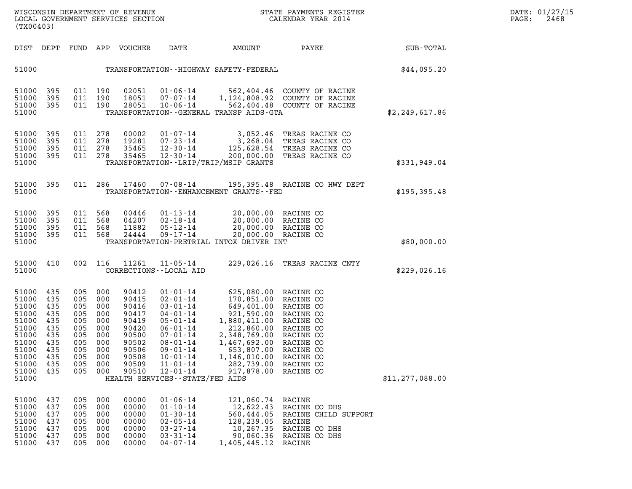| DATE: | 01/27/15 |
|-------|----------|
| PAGE: | 2468     |

| (TX00403)                                                                                                         |                                                                                  |                                                                                                                  |                                               | WISCONSIN DEPARTMENT OF REVENUE<br>LOCAL GOVERNMENT SERVICES SECTION                                     |                                                                                                                                                                                                                                       |                                                                                                                                                                                        | STATE PAYMENTS REGISTER<br>CALENDAR YEAR 2014                                                                                               |                   | DATE: 01/27/15<br>PAGE:<br>2468 |
|-------------------------------------------------------------------------------------------------------------------|----------------------------------------------------------------------------------|------------------------------------------------------------------------------------------------------------------|-----------------------------------------------|----------------------------------------------------------------------------------------------------------|---------------------------------------------------------------------------------------------------------------------------------------------------------------------------------------------------------------------------------------|----------------------------------------------------------------------------------------------------------------------------------------------------------------------------------------|---------------------------------------------------------------------------------------------------------------------------------------------|-------------------|---------------------------------|
|                                                                                                                   |                                                                                  |                                                                                                                  |                                               | DIST DEPT FUND APP VOUCHER                                                                               | DATE                                                                                                                                                                                                                                  | AMOUNT                                                                                                                                                                                 | PAYEE                                                                                                                                       | SUB-TOTAL         |                                 |
| 51000                                                                                                             |                                                                                  |                                                                                                                  |                                               |                                                                                                          |                                                                                                                                                                                                                                       | TRANSPORTATION - - HIGHWAY SAFETY - FEDERAL                                                                                                                                            |                                                                                                                                             | \$44,095.20       |                                 |
| 51000<br>51000<br>51000<br>51000                                                                                  | 395<br>395<br>395                                                                | 011 190<br>011 190<br>011 190                                                                                    |                                               | 02051<br>18051<br>28051                                                                                  | 01-06-14<br>07-07-14<br>$10 - 06 - 14$                                                                                                                                                                                                | TRANSPORTATION--GENERAL TRANSP AIDS-GTA                                                                                                                                                | 562,404.46 COUNTY OF RACINE<br>1,124,808.92 COUNTY OF RACINE<br>562,404.48 COUNTY OF RACINE                                                 | \$2,249,617.86    |                                 |
| 51000<br>51000<br>51000<br>51000<br>51000                                                                         | 395<br>395<br>395<br>395                                                         | 011 278<br>011 278<br>011 278<br>011 278                                                                         |                                               | 00002<br>19281<br>35465<br>35465                                                                         | 01-07-14<br>07-23-14<br>12-30-14<br>$12 - 30 - 14$                                                                                                                                                                                    | 3,052.46<br>200,000.00<br>TRANSPORTATION--LRIP/TRIP/MSIP GRANTS                                                                                                                        | TREAS RACINE CO<br>3,268.04 TREAS RACINE CO<br>125,628.54 TREAS RACINE CO<br>TREAS RACINE CO                                                | \$331,949.04      |                                 |
| 51000 395<br>51000                                                                                                |                                                                                  |                                                                                                                  |                                               | 011 286 17460                                                                                            | 07-08-14                                                                                                                                                                                                                              | TRANSPORTATION - - ENHANCEMENT GRANTS - - FED                                                                                                                                          | 195,395.48 RACINE CO HWY DEPT                                                                                                               | \$195, 395.48     |                                 |
| 51000<br>51000<br>51000<br>51000<br>51000                                                                         | 395<br>395<br>395<br>395                                                         | 011 568<br>011 568<br>011 568<br>011 568                                                                         |                                               | 00446<br>04207<br>11882<br>24444                                                                         | $01 - 13 - 14$<br>02-18-14<br>05-12-14<br>$09 - 17 - 14$                                                                                                                                                                              | 20,000.00 RACINE CO<br>20,000.00 RACINE CO<br>TRANSPORTATION-PRETRIAL INTOX DRIVER INT                                                                                                 | 20,000.00 RACINE CO<br>20,000.00 RACINE CO                                                                                                  | \$80,000.00       |                                 |
| 51000 410<br>51000                                                                                                |                                                                                  |                                                                                                                  | 002 116                                       | 11261                                                                                                    | $11 - 05 - 14$<br>CORRECTIONS - - LOCAL AID                                                                                                                                                                                           |                                                                                                                                                                                        | 229,026.16 TREAS RACINE CNTY                                                                                                                | \$229,026.16      |                                 |
| 51000<br>51000<br>51000<br>51000<br>51000<br>51000<br>51000<br>51000<br>51000<br>51000<br>51000<br>51000<br>51000 | 435<br>435<br>435<br>435<br>435<br>435<br>435<br>435<br>435<br>435<br>435<br>435 | 005 000<br>005 000<br>005 000<br>005 000<br>005 000<br>005 000<br>005 000<br>005 000<br>005<br>005<br>005<br>005 | 000<br>000<br>000<br>000                      | 90412<br>90415<br>90416<br>90417<br>90419<br>90420<br>90500<br>90502<br>90506<br>90508<br>90509<br>90510 | $01 - 01 - 14$<br>$02 - 01 - 14$<br>$03 - 01 - 14$<br>04-01-14<br>$05 - 01 - 14$<br>06-01-14<br>$07 - 01 - 14$<br>$08 - 01 - 14$<br>09-01-14<br>$10 - 01 - 14$<br>$11 - 01 - 14$<br>$12 - 01 - 14$<br>HEALTH SERVICES--STATE/FED AIDS | 625,080.00 RACINE CO<br>170,851.00<br>649,401.00<br>921,590.00<br>1,880,411.00<br>212,860.00<br>2,348,769.00<br>1,467,692.00<br>653,807.00<br>1,146,010.00<br>282,739.00<br>917,878.00 | RACINE CO<br>RACINE CO<br>RACINE CO<br>RACINE CO<br>RACINE CO<br>RACINE CO<br>RACINE CO<br>RACINE CO<br>RACINE CO<br>RACINE CO<br>RACINE CO | \$11, 277, 088.00 |                                 |
| 51000<br>51000<br>51000<br>51000<br>51000<br>51000<br>51000                                                       | 437<br>437<br>437<br>437<br>437<br>437<br>437                                    | 005<br>005<br>005<br>005<br>005<br>005<br>005                                                                    | 000<br>000<br>000<br>000<br>000<br>000<br>000 | 00000<br>00000<br>00000<br>00000<br>00000<br>00000<br>00000                                              | $01 - 06 - 14$<br>$01 - 10 - 14$<br>$01 - 30 - 14$<br>$02 - 05 - 14$<br>$03 - 27 - 14$<br>$03 - 31 - 14$<br>$04 - 07 - 14$                                                                                                            | 121,060.74<br>12,622.43<br>560,444.05<br>128,239.05<br>10,267.35<br>90,060.36<br>1,405,445.12                                                                                          | RACINE<br>RACINE CO DHS<br>RACINE CHILD SUPPORT<br>RACINE<br>RACINE CO DHS<br>RACINE CO DHS<br>RACINE                                       |                   |                                 |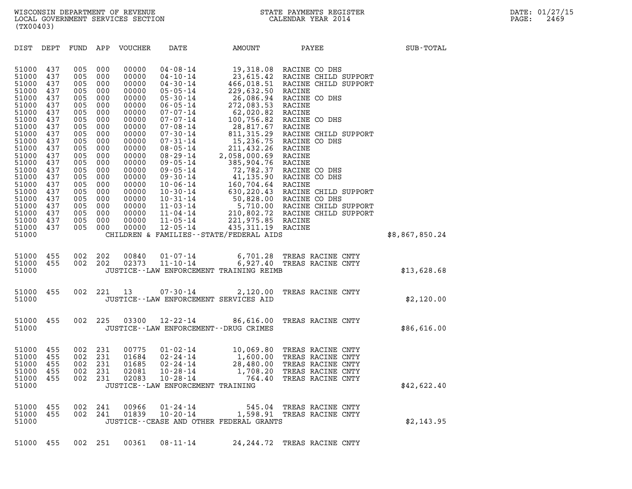| (TX00403)                                                                                                                                                                                                            |                                                                                                                                                               |                                                                                                                                                               |                                                                                                                                                               |                                                                                                                                                                                                             |                                                                                                                                                                                                                                                                                                                                                                                                                      |                                                                                                                                                                                                                                                                                        |                                                                                                                                                                                                                                                                                                                                                                                                                    |                |  |
|----------------------------------------------------------------------------------------------------------------------------------------------------------------------------------------------------------------------|---------------------------------------------------------------------------------------------------------------------------------------------------------------|---------------------------------------------------------------------------------------------------------------------------------------------------------------|---------------------------------------------------------------------------------------------------------------------------------------------------------------|-------------------------------------------------------------------------------------------------------------------------------------------------------------------------------------------------------------|----------------------------------------------------------------------------------------------------------------------------------------------------------------------------------------------------------------------------------------------------------------------------------------------------------------------------------------------------------------------------------------------------------------------|----------------------------------------------------------------------------------------------------------------------------------------------------------------------------------------------------------------------------------------------------------------------------------------|--------------------------------------------------------------------------------------------------------------------------------------------------------------------------------------------------------------------------------------------------------------------------------------------------------------------------------------------------------------------------------------------------------------------|----------------|--|
| DIST                                                                                                                                                                                                                 | DEPT                                                                                                                                                          | FUND                                                                                                                                                          | APP                                                                                                                                                           | VOUCHER                                                                                                                                                                                                     | DATE                                                                                                                                                                                                                                                                                                                                                                                                                 | AMOUNT                                                                                                                                                                                                                                                                                 | PAYEE                                                                                                                                                                                                                                                                                                                                                                                                              | SUB-TOTAL      |  |
| 51000<br>51000<br>51000<br>51000<br>51000<br>51000<br>51000<br>51000<br>51000<br>51000<br>51000<br>51000<br>51000<br>51000<br>51000<br>51000<br>51000<br>51000<br>51000<br>51000<br>51000<br>51000<br>51000<br>51000 | 437<br>437<br>437<br>437<br>437<br>437<br>437<br>437<br>437<br>437<br>437<br>437<br>437<br>437<br>437<br>437<br>437<br>437<br>437<br>437<br>437<br>437<br>437 | 005<br>005<br>005<br>005<br>005<br>005<br>005<br>005<br>005<br>005<br>005<br>005<br>005<br>005<br>005<br>005<br>005<br>005<br>005<br>005<br>005<br>005<br>005 | 000<br>000<br>000<br>000<br>000<br>000<br>000<br>000<br>000<br>000<br>000<br>000<br>000<br>000<br>000<br>000<br>000<br>000<br>000<br>000<br>000<br>000<br>000 | 00000<br>00000<br>00000<br>00000<br>00000<br>00000<br>00000<br>00000<br>00000<br>00000<br>00000<br>00000<br>00000<br>00000<br>00000<br>00000<br>00000<br>00000<br>00000<br>00000<br>00000<br>00000<br>00000 | $04 - 08 - 14$<br>$04 - 10 - 14$<br>$04 - 30 - 14$<br>$05 - 05 - 14$<br>$05 - 30 - 14$<br>$06 - 05 - 14$<br>$07 - 07 - 14$<br>$07 - 07 - 14$<br>$07 - 08 - 14$<br>$07 - 30 - 14$<br>$07 - 31 - 14$<br>$08 - 05 - 14$<br>$08 - 29 - 14$<br>$09 - 05 - 14$<br>$09 - 05 - 14$<br>$09 - 30 - 14$<br>$10 - 06 - 14$<br>$10 - 30 - 14$<br>$10 - 31 - 14$<br>11-03-14<br>$11 - 04 - 14$<br>$11 - 05 - 14$<br>$12 - 05 - 14$ | 19,318.08<br>229,632.50<br>26,086.94<br>272,083.53<br>62,020.82<br>100,756.82<br>28,817.67<br>211,432.26 RACINE<br>2,058,000.69<br>385,904.76 RACINE<br>72,782.37<br>160,704.64<br>630,220.43<br>221,975.85 RACINE<br>435, 311.19 RACINE<br>CHILDREN & FAMILIES - - STATE/FEDERAL AIDS | RACINE CO DHS<br>23,615.42 RACINE CHILD SUPPORT<br>466,018.51 RACINE CHILD SUPPORT<br>RACINE<br>RACINE CO DHS<br>RACINE<br>RACINE<br>RACINE CO DHS<br>RACINE<br>811, 315.29 RACINE CHILD SUPPORT<br>15,236.75 RACINE CO DHS<br>RACINE<br>RACINE CO DHS<br>41,135.90 RACINE CO DHS<br>RACINE<br>RACINE CHILD SUPPORT<br>50,828.00 RACINE CO DHS<br>5,710.00 RACINE CHILD SUPPORT<br>210,802.72 RACINE CHILD SUPPORT | \$8,867,850.24 |  |
| 51000<br>51000<br>51000                                                                                                                                                                                              | 455<br>455                                                                                                                                                    | 002<br>002                                                                                                                                                    | 202<br>202                                                                                                                                                    | 00840<br>02373                                                                                                                                                                                              | $01 - 07 - 14$<br>$11 - 10 - 14$                                                                                                                                                                                                                                                                                                                                                                                     | 6,701.28<br>6,927.40<br>JUSTICE--LAW ENFORCEMENT TRAINING REIMB                                                                                                                                                                                                                        | TREAS RACINE CNTY<br>TREAS RACINE CNTY                                                                                                                                                                                                                                                                                                                                                                             | \$13,628.68    |  |
| 51000<br>51000                                                                                                                                                                                                       | 455                                                                                                                                                           | 002                                                                                                                                                           | 221                                                                                                                                                           | 13                                                                                                                                                                                                          | $07 - 30 - 14$<br>JUSTICE--LAW ENFORCEMENT SERVICES AID                                                                                                                                                                                                                                                                                                                                                              | 2,120.00                                                                                                                                                                                                                                                                               | TREAS RACINE CNTY                                                                                                                                                                                                                                                                                                                                                                                                  | \$2,120.00     |  |
| 51000<br>51000                                                                                                                                                                                                       | 455                                                                                                                                                           | 002                                                                                                                                                           | 225                                                                                                                                                           | 03300                                                                                                                                                                                                       | $12 - 22 - 14$<br>JUSTICE - - LAW ENFORCEMENT - - DRUG CRIMES                                                                                                                                                                                                                                                                                                                                                        | 86,616.00                                                                                                                                                                                                                                                                              | TREAS RACINE CNTY                                                                                                                                                                                                                                                                                                                                                                                                  | \$86,616.00    |  |
| 51000<br>51000<br>51000<br>51000<br>51000<br>51000                                                                                                                                                                   | 455<br>455<br>455<br>455<br>455                                                                                                                               | 002<br>002<br>002<br>002<br>002                                                                                                                               | 231<br>231<br>231<br>231<br>231                                                                                                                               | 00775<br>01684<br>01685<br>02081<br>02083                                                                                                                                                                   | $01 - 02 - 14$<br>02-24-14<br>$02 - 24 - 14$<br>$10 - 28 - 14$<br>$10 - 28 - 14$<br>JUSTICE - - LAW ENFORCEMENT TRAINING                                                                                                                                                                                                                                                                                             | 10,069.80<br>1,600.00<br>28,480.00<br>1,708.20<br>764.40                                                                                                                                                                                                                               | TREAS RACINE CNTY<br>TREAS RACINE CNTY<br>TREAS RACINE CNTY<br>TREAS RACINE CNTY<br>TREAS RACINE CNTY                                                                                                                                                                                                                                                                                                              | \$42,622.40    |  |
| 51000 455<br>51000                                                                                                                                                                                                   | 51000 455                                                                                                                                                     | 002                                                                                                                                                           | 002 241<br>241                                                                                                                                                | 00966                                                                                                                                                                                                       | $01 - 24 - 14$                                                                                                                                                                                                                                                                                                                                                                                                       | JUSTICE--CEASE AND OTHER FEDERAL GRANTS                                                                                                                                                                                                                                                | 545.04 TREAS RACINE CNTY<br>01839  10-20-14  1,598.91  TREAS RACINE CNTY                                                                                                                                                                                                                                                                                                                                           | \$2,143.95     |  |
| 51000                                                                                                                                                                                                                | 455                                                                                                                                                           | 002 251                                                                                                                                                       |                                                                                                                                                               |                                                                                                                                                                                                             | $00361$ $08-11-14$                                                                                                                                                                                                                                                                                                                                                                                                   |                                                                                                                                                                                                                                                                                        | 24, 244.72 TREAS RACINE CNTY                                                                                                                                                                                                                                                                                                                                                                                       |                |  |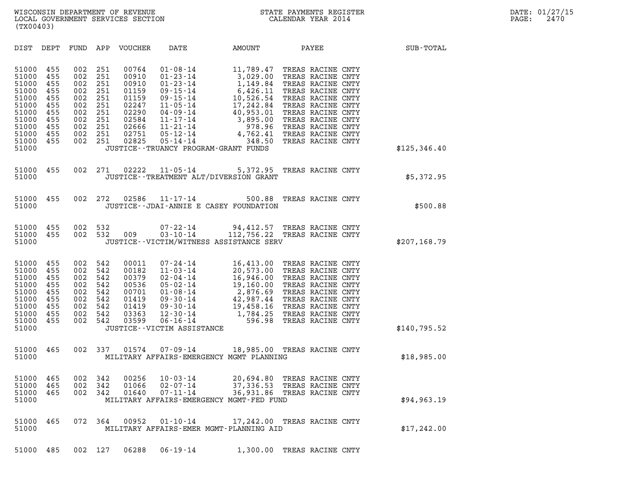| (TX00403)                                                                                                |                                                                           |                                                                           |                                                                           |                                                                                                 |                                                                                                                                                                                                                                     |                                                                                                                                                      |       |                                                                                                                                                                                                                                     |               |  |
|----------------------------------------------------------------------------------------------------------|---------------------------------------------------------------------------|---------------------------------------------------------------------------|---------------------------------------------------------------------------|-------------------------------------------------------------------------------------------------|-------------------------------------------------------------------------------------------------------------------------------------------------------------------------------------------------------------------------------------|------------------------------------------------------------------------------------------------------------------------------------------------------|-------|-------------------------------------------------------------------------------------------------------------------------------------------------------------------------------------------------------------------------------------|---------------|--|
| DIST                                                                                                     | DEPT                                                                      | FUND                                                                      | APP                                                                       | VOUCHER                                                                                         | DATE                                                                                                                                                                                                                                | AMOUNT                                                                                                                                               | PAYEE |                                                                                                                                                                                                                                     | SUB-TOTAL     |  |
| 51000<br>51000<br>51000<br>51000<br>51000<br>51000<br>51000<br>51000<br>51000<br>51000<br>51000<br>51000 | 455<br>455<br>455<br>455<br>455<br>455<br>455<br>455<br>455<br>455<br>455 | 002<br>002<br>002<br>002<br>002<br>002<br>002<br>002<br>002<br>002<br>002 | 251<br>251<br>251<br>251<br>251<br>251<br>251<br>251<br>251<br>251<br>251 | 00764<br>00910<br>00910<br>01159<br>01159<br>02247<br>02290<br>02584<br>02666<br>02751<br>02825 | $01 - 08 - 14$<br>$01 - 23 - 14$<br>$01 - 23 - 14$<br>$09 - 15 - 14$<br>$09 - 15 - 14$<br>$11 - 05 - 14$<br>$04 - 09 - 14$<br>$11 - 17 - 14$<br>$11 - 21 - 14$<br>05-12-14<br>05-14-14<br>JUSTICE - - TRUANCY PROGRAM - GRANT FUNDS | 11,789.47<br>3,029.00<br>1,149.84<br>6,426.11<br>10,526.54<br>17,242.84<br>40,953.01<br>3,895.00<br>$3,895.00$<br>$978.96$<br>$4,762.41$<br>$348.50$ |       | TREAS RACINE CNTY<br>TREAS RACINE CNTY<br>TREAS RACINE CNTY<br>TREAS RACINE CNTY<br>TREAS RACINE CNTY<br>TREAS RACINE CNTY<br>TREAS RACINE CNTY<br>TREAS RACINE CNTY<br>TREAS RACINE CNTY<br>TREAS RACINE CNTY<br>TREAS RACINE CNTY | \$125, 346.40 |  |
| 51000<br>51000                                                                                           | 455                                                                       | 002                                                                       | 271                                                                       | 02222                                                                                           | $11 - 05 - 14$<br>JUSTICE - - TREATMENT ALT/DIVERSION GRANT                                                                                                                                                                         | 5,372.95                                                                                                                                             |       | TREAS RACINE CNTY                                                                                                                                                                                                                   | \$5,372.95    |  |
| 51000<br>51000                                                                                           | 455                                                                       | 002                                                                       | 272                                                                       | 02586                                                                                           | $11 - 17 - 14$<br>JUSTICE - - JDAI - ANNIE E CASEY FOUNDATION                                                                                                                                                                       | 500.88                                                                                                                                               |       | TREAS RACINE CNTY                                                                                                                                                                                                                   | \$500.88      |  |
| 51000<br>51000<br>51000                                                                                  | 455<br>455                                                                | 002<br>002                                                                | 532<br>532                                                                | 009                                                                                             | $07 - 22 - 14$<br>$03 - 10 - 14$<br>JUSTICE - - VICTIM/WITNESS ASSISTANCE SERV                                                                                                                                                      | 94,412.57 TREAS RACINE CNTY<br>112,756.22 TREAS RACINE CNTY                                                                                          |       |                                                                                                                                                                                                                                     | \$207,168.79  |  |
| 51000<br>51000<br>51000<br>51000<br>51000<br>51000<br>51000<br>51000<br>51000<br>51000                   | 455<br>455<br>455<br>455<br>455<br>455<br>455<br>455<br>455               | 002<br>002<br>002<br>002<br>002<br>002<br>002<br>002<br>002               | 542<br>542<br>542<br>542<br>542<br>542<br>542<br>542<br>542               | 00011<br>00182<br>00379<br>00536<br>00701<br>01419<br>01419<br>03363<br>03599                   | $07 - 24 - 14$<br>$11 - 03 - 14$<br>$02 - 04 - 14$<br>$05 - 02 - 14$<br>$01 - 08 - 14$<br>$09 - 30 - 14$<br>09-30-14<br>$12 - 30 - 14$<br>$06 - 16 - 14$<br>JUSTICE - - VICTIM ASSISTANCE                                           | 16,413.00 TREAS RACINE CNTY<br>20,573.00<br>16,946.00<br>19,160.00<br>$2,876.69$<br>$42,987.44$<br>$19,458.16$<br>$1,784.25$<br>$596.98$             |       | TREAS RACINE CNTY<br>TREAS RACINE CNTY<br>TREAS RACINE CNTY<br>TREAS RACINE CNTY<br>TREAS RACINE CNTY<br>TREAS RACINE CNTY<br>TREAS RACINE CNTY<br>TREAS RACINE CNTY                                                                | \$140,795.52  |  |
| 51000<br>51000                                                                                           | 465                                                                       | 002                                                                       | 337                                                                       | 01574                                                                                           | $07 - 09 - 14$<br>MILITARY AFFAIRS-EMERGENCY MGMT PLANNING                                                                                                                                                                          | 18,985.00 TREAS RACINE CNTY                                                                                                                          |       |                                                                                                                                                                                                                                     | \$18,985.00   |  |
| 51000<br>51000<br>51000<br>51000                                                                         | 465<br>465<br>465                                                         | 002<br>002<br>002                                                         | 342<br>342<br>342                                                         | 00256<br>01066<br>01640                                                                         | $10 - 03 - 14$<br>$02 - 07 - 14$<br>$07 - 11 - 14$<br>MILITARY AFFAIRS-EMERGENCY MGMT-FED FUND                                                                                                                                      | 20,694.80<br>37,336.53 TREAS RACINE CNTY<br>36,931.86 TREAS RACINE CNTY                                                                              |       | TREAS RACINE CNTY                                                                                                                                                                                                                   | \$94, 963.19  |  |
| 51000<br>51000                                                                                           | 465                                                                       |                                                                           | 072 364                                                                   | 00952                                                                                           | $01 - 10 - 14$<br>MILITARY AFFAIRS-EMER MGMT-PLANNING AID                                                                                                                                                                           | 17,242.00 TREAS RACINE CNTY                                                                                                                          |       |                                                                                                                                                                                                                                     | \$17,242.00   |  |
|                                                                                                          |                                                                           |                                                                           |                                                                           |                                                                                                 | 51000 485 002 127 06288 06-19-14 1,300.00 TREAS RACINE CNTY                                                                                                                                                                         |                                                                                                                                                      |       |                                                                                                                                                                                                                                     |               |  |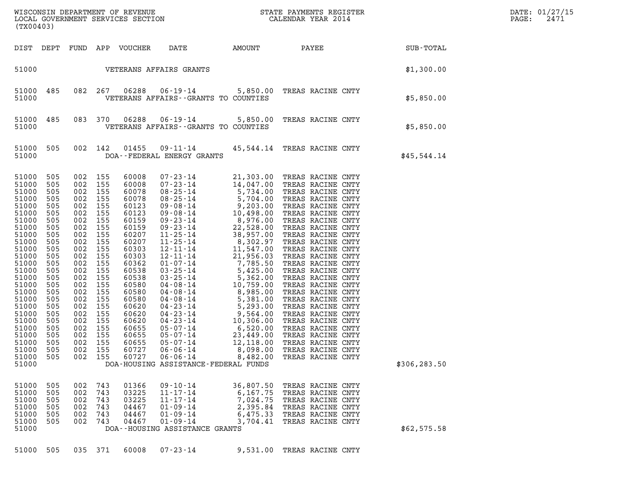| (TX00403)                                                                                                                                                                                                                                       |                                                                                                                                                                                    |                                                                                                                                                                                                                                |                                                                                                       |                                                                                                                                                                                                                                        |                                                                                                                                            |                                                                       | WISCONSIN DEPARTMENT OF REVENUE<br>LOCAL GOVERNMENT SERVICES SECTION CALENDAR YEAR 2014                                    |               | DATE: 01/27/15<br>2471<br>PAGE: |
|-------------------------------------------------------------------------------------------------------------------------------------------------------------------------------------------------------------------------------------------------|------------------------------------------------------------------------------------------------------------------------------------------------------------------------------------|--------------------------------------------------------------------------------------------------------------------------------------------------------------------------------------------------------------------------------|-------------------------------------------------------------------------------------------------------|----------------------------------------------------------------------------------------------------------------------------------------------------------------------------------------------------------------------------------------|--------------------------------------------------------------------------------------------------------------------------------------------|-----------------------------------------------------------------------|----------------------------------------------------------------------------------------------------------------------------|---------------|---------------------------------|
| DIST DEPT                                                                                                                                                                                                                                       |                                                                                                                                                                                    |                                                                                                                                                                                                                                |                                                                                                       | FUND APP VOUCHER                                                                                                                                                                                                                       | DATE                                                                                                                                       |                                                                       | AMOUNT PAYEE                                                                                                               | SUB-TOTAL     |                                 |
| 51000                                                                                                                                                                                                                                           |                                                                                                                                                                                    |                                                                                                                                                                                                                                |                                                                                                       |                                                                                                                                                                                                                                        | VETERANS AFFAIRS GRANTS                                                                                                                    |                                                                       |                                                                                                                            | \$1,300.00    |                                 |
| 51000<br>51000                                                                                                                                                                                                                                  | 485                                                                                                                                                                                | 082 267                                                                                                                                                                                                                        |                                                                                                       | 06288                                                                                                                                                                                                                                  | VETERANS AFFAIRS -- GRANTS TO COUNTIES                                                                                                     |                                                                       | 06-19-14 5,850.00 TREAS RACINE CNTY                                                                                        | \$5,850.00    |                                 |
| 51000<br>51000                                                                                                                                                                                                                                  | 485                                                                                                                                                                                | 083 370                                                                                                                                                                                                                        |                                                                                                       | 06288                                                                                                                                                                                                                                  | VETERANS AFFAIRS -- GRANTS TO COUNTIES                                                                                                     |                                                                       | 06-19-14 5,850.00 TREAS RACINE CNTY                                                                                        | \$5,850.00    |                                 |
| 51000<br>51000                                                                                                                                                                                                                                  | 505                                                                                                                                                                                | 002 142                                                                                                                                                                                                                        |                                                                                                       | 01455                                                                                                                                                                                                                                  | DOA--FEDERAL ENERGY GRANTS                                                                                                                 |                                                                       | 09-11-14 45,544.14 TREAS RACINE CNTY                                                                                       | \$45,544.14   |                                 |
| 51000<br>51000<br>51000<br>51000<br>51000<br>51000<br>51000<br>51000<br>51000<br>51000<br>51000<br>51000<br>51000<br>51000<br>51000<br>51000<br>51000<br>51000<br>51000<br>51000<br>51000<br>51000<br>51000<br>51000<br>51000<br>51000<br>51000 | 505<br>505<br>505<br>505<br>505<br>505<br>505<br>505<br>505<br>505<br>505<br>505<br>505<br>505<br>505<br>505<br>505<br>505<br>505<br>505<br>505<br>505<br>505<br>505<br>505<br>505 | 002 155<br>002 155<br>002 155<br>002 155<br>002<br>002 155<br>002<br>002<br>002<br>002 155<br>002<br>002 155<br>002<br>002 155<br>002<br>002<br>002<br>002<br>002<br>002 155<br>002<br>002 155<br>002<br>002 155<br>002<br>002 | 155<br>155<br>155<br>155<br>155<br>155<br>155<br>155<br>155<br>155<br>155<br>155<br>155<br>155<br>155 | 60008<br>60008<br>60078<br>60078<br>60123<br>60123<br>60159<br>60159<br>60207<br>60207<br>60303<br>60303<br>60362<br>60538<br>60538<br>60580<br>60580<br>60580<br>60620<br>60620<br>60620<br>60655<br>60655<br>60655<br>60727<br>60727 | $05 - 07 - 14$<br>$06 - 06 - 14$<br>$06 - 06 - 14$<br>DOA-HOUSING ASSISTANCE-FEDERAL FUNDS                                                 | 12,118.00<br>8,098.00<br>8,482.00                                     | TREAS RACINE CNTY<br>TREAS RACINE CNTY<br>TREAS RACINE CNTY                                                                | \$306, 283.50 |                                 |
| 51000<br>51000<br>51000<br>51000<br>51000<br>51000<br>51000                                                                                                                                                                                     | 505<br>505<br>505<br>505<br>505<br>505                                                                                                                                             | 002<br>002<br>002<br>002<br>002<br>002                                                                                                                                                                                         | 743<br>743<br>743<br>743<br>743<br>743                                                                | 01366<br>03225<br>03225<br>04467<br>04467<br>04467                                                                                                                                                                                     | $09 - 10 - 14$<br>$11 - 17 - 14$<br>$11 - 17 - 14$<br>$01 - 09 - 14$<br>$01 - 09 - 14$<br>$01 - 09 - 14$<br>DOA--HOUSING ASSISTANCE GRANTS | 36,807.50<br>6,167.75<br>7,024.75<br>2,395.84<br>6,475.33<br>3,704.41 | TREAS RACINE CNTY<br>TREAS RACINE CNTY<br>TREAS RACINE CNTY<br>TREAS RACINE CNTY<br>TREAS RACINE CNTY<br>TREAS RACINE CNTY | \$62,575.58   |                                 |
| 51000 505                                                                                                                                                                                                                                       |                                                                                                                                                                                    | 035 371                                                                                                                                                                                                                        |                                                                                                       | 60008                                                                                                                                                                                                                                  | $07 - 23 - 14$                                                                                                                             |                                                                       | 9,531.00 TREAS RACINE CNTY                                                                                                 |               |                                 |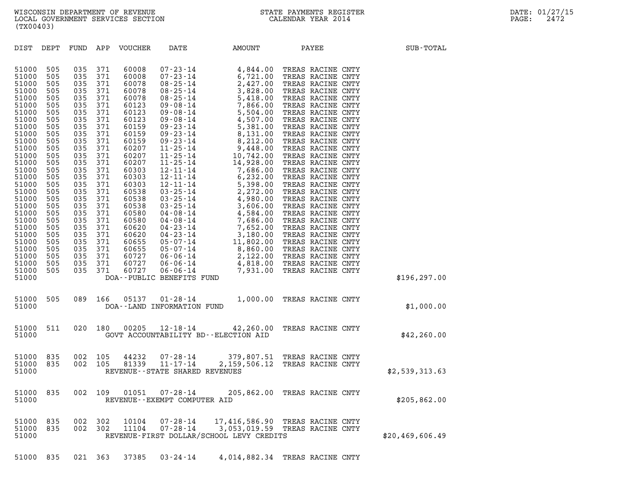| (TX00403)                                                                                                                                                                                                                                                                                                                                                                                                                                                                                                                                                                                                                                                                                        |                                                                                                                                                                                                                                                                                                                                                                                                                                                                                                           |                                                                                  |                  |
|--------------------------------------------------------------------------------------------------------------------------------------------------------------------------------------------------------------------------------------------------------------------------------------------------------------------------------------------------------------------------------------------------------------------------------------------------------------------------------------------------------------------------------------------------------------------------------------------------------------------------------------------------------------------------------------------------|-----------------------------------------------------------------------------------------------------------------------------------------------------------------------------------------------------------------------------------------------------------------------------------------------------------------------------------------------------------------------------------------------------------------------------------------------------------------------------------------------------------|----------------------------------------------------------------------------------|------------------|
| DIST<br>DEPT<br>FUND                                                                                                                                                                                                                                                                                                                                                                                                                                                                                                                                                                                                                                                                             | APP<br>VOUCHER<br>DATE                                                                                                                                                                                                                                                                                                                                                                                                                                                                                    | AMOUNT<br>PAYEE                                                                  | <b>SUB-TOTAL</b> |
| 51000<br>505<br>035<br>51000<br>505<br>035<br>51000<br>505<br>035<br>51000<br>505<br>035<br>51000<br>505<br>035<br>51000<br>505<br>035<br>51000<br>505<br>035<br>51000<br>505<br>035<br>51000<br>505<br>035<br>505<br>035<br>51000<br>51000<br>505<br>035<br>505<br>035<br>51000<br>51000<br>505<br>035<br>505<br>035<br>51000<br>51000<br>505<br>035<br>51000<br>505<br>035<br>51000<br>505<br>035<br>51000<br>505<br>035<br>51000<br>505<br>035<br>505<br>035<br>51000<br>51000<br>505<br>035<br>505<br>035<br>51000<br>51000<br>505<br>035<br>505<br>035<br>51000<br>51000<br>505<br>035<br>505<br>035<br>51000<br>51000<br>505<br>035<br>505<br>035<br>51000<br>505<br>035<br>51000<br>51000 | 60008<br>371<br>371<br>60008<br>371<br>60078<br>371<br>60078<br>371<br>60078<br>371<br>60123<br>371<br>60123<br>371<br>60123<br>371<br>60159<br>371<br>60159<br>371<br>60159<br>371<br>60207<br>371<br>60207<br>371<br>60207<br>371<br>60303<br>371<br>60303<br>371<br>60303<br>371<br>60538<br>371<br>60538<br>371<br>60538<br>371<br>60580<br>371<br>60580<br>371<br>60620<br>371<br>60620<br>371<br>60655<br>371<br>60655<br>371<br>60727<br>371<br>60727<br>60727<br>371<br>DOA--PUBLIC BENEFITS FUND |                                                                                  | \$196, 297.00    |
| 51000<br>505<br>089<br>51000                                                                                                                                                                                                                                                                                                                                                                                                                                                                                                                                                                                                                                                                     | 166<br>05137<br>$01 - 28 - 14$<br>DOA--LAND INFORMATION FUND                                                                                                                                                                                                                                                                                                                                                                                                                                              | 1,000.00<br>TREAS RACINE CNTY                                                    | \$1,000.00       |
| 51000<br>511<br>020<br>51000                                                                                                                                                                                                                                                                                                                                                                                                                                                                                                                                                                                                                                                                     | 180<br>00205<br>$12 - 18 - 14$<br>GOVT ACCOUNTABILITY BD--ELECTION AID                                                                                                                                                                                                                                                                                                                                                                                                                                    | 42,260.00<br>TREAS RACINE CNTY                                                   | \$42, 260.00     |
| 835<br>002<br>51000<br>835<br>002<br>51000<br>51000                                                                                                                                                                                                                                                                                                                                                                                                                                                                                                                                                                                                                                              | 105<br>44232<br>81339<br>105<br>REVENUE - - STATE SHARED REVENUES                                                                                                                                                                                                                                                                                                                                                                                                                                         | 07-28-14 379,807.51 TREAS RACINE CNTY<br>11-17-14 2,159,506.12 TREAS RACINE CNTY | \$2,539,313.63   |
| 002<br>51000<br>835<br>51000                                                                                                                                                                                                                                                                                                                                                                                                                                                                                                                                                                                                                                                                     | 109<br>01051<br>07-28-14<br>REVENUE - - EXEMPT COMPUTER AID                                                                                                                                                                                                                                                                                                                                                                                                                                               | 205,862.00 TREAS RACINE CNTY                                                     | \$205,862.00     |
| 51000<br>835<br>002<br>002<br>51000<br>835<br>51000                                                                                                                                                                                                                                                                                                                                                                                                                                                                                                                                                                                                                                              | 302<br>10104<br>$07 - 28 - 14$<br>302<br>11104<br>$07 - 28 - 14$<br>REVENUE-FIRST DOLLAR/SCHOOL LEVY CREDITS                                                                                                                                                                                                                                                                                                                                                                                              | 17,416,586.90<br>TREAS RACINE CNTY<br>3,053,019.59<br>TREAS RACINE CNTY          | \$20,469,606.49  |

51000 835 021 363 37385 03-24-14 4,014,882.34 TREAS RACINE CNTY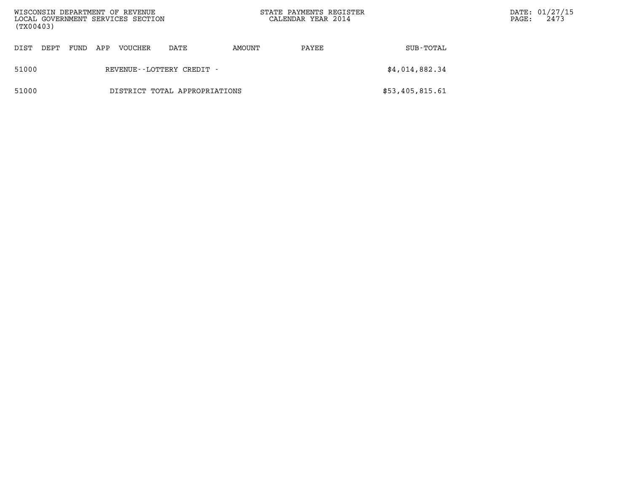| (TX00403) |                               |      |     | WISCONSIN DEPARTMENT OF REVENUE<br>LOCAL GOVERNMENT SERVICES SECTION |                           |        | STATE PAYMENTS REGISTER<br>CALENDAR YEAR 2014 |                 | $\mathtt{PAGE}$ : | DATE: 01/27/15<br>2473 |
|-----------|-------------------------------|------|-----|----------------------------------------------------------------------|---------------------------|--------|-----------------------------------------------|-----------------|-------------------|------------------------|
| DIST      | DEPT                          | FUND | APP | VOUCHER                                                              | DATE                      | AMOUNT | PAYEE                                         | SUB-TOTAL       |                   |                        |
| 51000     |                               |      |     |                                                                      | REVENUE--LOTTERY CREDIT - |        |                                               | \$4,014,882.34  |                   |                        |
| 51000     | DISTRICT TOTAL APPROPRIATIONS |      |     |                                                                      |                           |        |                                               | \$53,405,815.61 |                   |                        |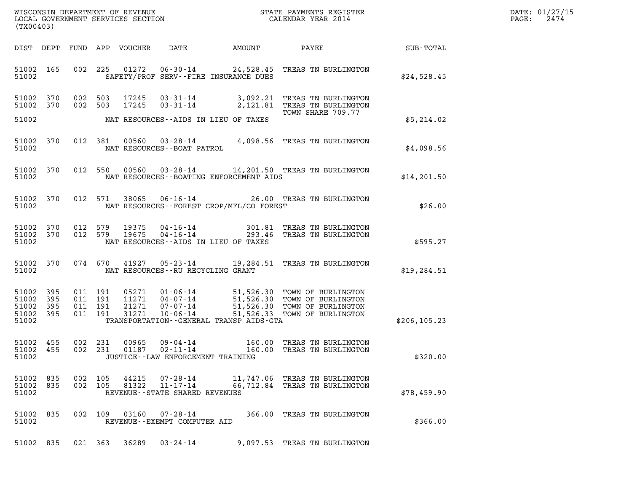| (TX00403)                                             |           |                    |                               |                            |                                                        |                                              |                                                                                                                                                                  |                                               | DATE: 01/27/15<br>$\mathtt{PAGE:}$<br>2474 |
|-------------------------------------------------------|-----------|--------------------|-------------------------------|----------------------------|--------------------------------------------------------|----------------------------------------------|------------------------------------------------------------------------------------------------------------------------------------------------------------------|-----------------------------------------------|--------------------------------------------|
|                                                       |           |                    |                               | DIST DEPT FUND APP VOUCHER | DATE                                                   | AMOUNT                                       | PAYEE                                                                                                                                                            | $\operatorname{SUB}$ - $\operatorname{TOTAL}$ |                                            |
| 51002                                                 | 51002 165 |                    |                               |                            |                                                        | SAFETY/PROF SERV--FIRE INSURANCE DUES        | 002 225 01272 06-30-14 24,528.45 TREAS TN BURLINGTON                                                                                                             | \$24,528.45                                   |                                            |
| 51002 370<br>51002 370<br>51002                       |           | 002 503            | 002 503                       | 17245<br>17245             |                                                        | NAT RESOURCES--AIDS IN LIEU OF TAXES         | 03-31-14 3,092.21 TREAS TN BURLINGTON<br>03-31-14 2,121.81 TREAS TN BURLINGTON<br>TOWN SHARE 709.77                                                              | \$5,214.02                                    |                                            |
| 51002 370<br>51002                                    |           |                    | 012 381                       |                            | NAT RESOURCES--BOAT PATROL                             |                                              | 00560  03-28-14  4,098.56  TREAS TN BURLINGTON                                                                                                                   | \$4,098.56                                    |                                            |
| 51002 370<br>51002                                    |           |                    |                               |                            |                                                        | NAT RESOURCES--BOATING ENFORCEMENT AIDS      | 012 550 00560 03-28-14 14,201.50 TREAS TN BURLINGTON                                                                                                             | \$14,201.50                                   |                                            |
| 51002 370<br>51002                                    |           |                    | 012 571                       |                            |                                                        | NAT RESOURCES - - FOREST CROP/MFL/CO FOREST  | 38065  06-16-14  26.00 TREAS TN BURLINGTON                                                                                                                       | \$26.00                                       |                                            |
| 51002 370<br>51002 370<br>51002                       |           | 012 579<br>012 579 |                               | 19375<br>19675             | $04 - 16 - 14$<br>04 - 16 - 14                         | NAT RESOURCES -- AIDS IN LIEU OF TAXES       | 301.81 TREAS TN BURLINGTON<br>293.46 TREAS TN BURLINGTON                                                                                                         | \$595.27                                      |                                            |
| 51002 370<br>51002                                    |           |                    |                               |                            | NAT RESOURCES -- RU RECYCLING GRANT                    |                                              | 074 670 41927 05-23-14 19,284.51 TREAS TN BURLINGTON                                                                                                             | \$19, 284.51                                  |                                            |
| 51002 395<br>51002 395<br>51002<br>51002 395<br>51002 | 395       | 011 191            | 011 191<br>011 191<br>011 191 | 21271<br>31271             | 07-07-14<br>$10 - 06 - 14$                             | TRANSPORTATION - - GENERAL TRANSP AIDS - GTA | 05271  01-06-14  51,526.30  TOWN OF BURLINGTON<br>11271  04-07-14  51,526.30  TOWN OF BURLINGTON<br>51,526.30 TOWN OF BURLINGTON<br>51,526.33 TOWN OF BURLINGTON | \$206, 105.23                                 |                                            |
| 51002 455<br>51002 455<br>51002                       |           |                    | 002 231<br>002 231            | 00965                      | 09-04-14<br>JUSTICE - - LAW ENFORCEMENT TRAINING       |                                              | 160.00 TREAS TN BURLINGTON<br>160.00 TREAS TN BURLINGTON                                                                                                         | \$320.00                                      |                                            |
| 51002 835<br>51002 835<br>51002                       |           | 002 105<br>002 105 |                               | 44215<br>81322             | 07-28-14<br>11-17-14<br>REVENUE--STATE SHARED REVENUES |                                              | 11,747.06 TREAS TN BURLINGTON<br>66,712.84 TREAS TN BURLINGTON                                                                                                   | \$78,459.90                                   |                                            |
| 51002 835<br>51002                                    |           |                    |                               | 002 109 03160              | 07-28-14<br>REVENUE - - EXEMPT COMPUTER AID            |                                              | 366.00 TREAS TN BURLINGTON                                                                                                                                       | \$366.00                                      |                                            |
| 51002 835                                             |           |                    | 021 363                       | 36289                      | 03-24-14                                               |                                              | 9,097.53 TREAS TN BURLINGTON                                                                                                                                     |                                               |                                            |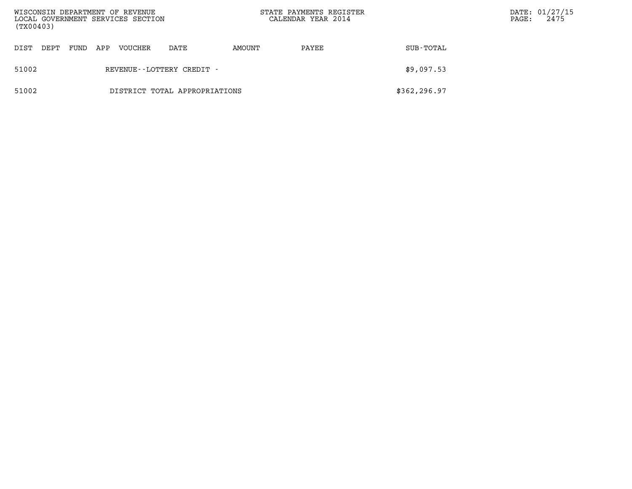| (TX00403) |      |      |     | WISCONSIN DEPARTMENT OF REVENUE<br>LOCAL GOVERNMENT SERVICES SECTION |                               |        | STATE PAYMENTS REGISTER<br>CALENDAR YEAR 2014 |              | PAGE: | DATE: 01/27/15<br>2475 |
|-----------|------|------|-----|----------------------------------------------------------------------|-------------------------------|--------|-----------------------------------------------|--------------|-------|------------------------|
| DIST      | DEPT | FUND | APP | VOUCHER                                                              | DATE                          | AMOUNT | PAYEE                                         | SUB-TOTAL    |       |                        |
| 51002     |      |      |     |                                                                      | REVENUE--LOTTERY CREDIT -     |        |                                               | \$9,097.53   |       |                        |
| 51002     |      |      |     |                                                                      | DISTRICT TOTAL APPROPRIATIONS |        |                                               | \$362,296.97 |       |                        |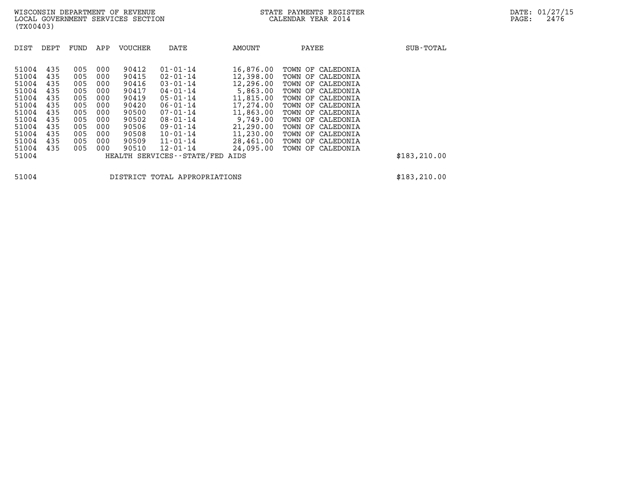| (TX00403)                                                                                                         |                                                                                  |                                                                                  |                                                                                  |                                                                                                          |                                                                                                                                                                                                                                          |                                                                                                                                                        |                                                                                                                                                                                                                                                                         |               |
|-------------------------------------------------------------------------------------------------------------------|----------------------------------------------------------------------------------|----------------------------------------------------------------------------------|----------------------------------------------------------------------------------|----------------------------------------------------------------------------------------------------------|------------------------------------------------------------------------------------------------------------------------------------------------------------------------------------------------------------------------------------------|--------------------------------------------------------------------------------------------------------------------------------------------------------|-------------------------------------------------------------------------------------------------------------------------------------------------------------------------------------------------------------------------------------------------------------------------|---------------|
| DIST                                                                                                              | DEPT                                                                             | FUND                                                                             | APP                                                                              | <b>VOUCHER</b>                                                                                           | DATE                                                                                                                                                                                                                                     | AMOUNT                                                                                                                                                 | PAYEE                                                                                                                                                                                                                                                                   | SUB-TOTAL     |
| 51004<br>51004<br>51004<br>51004<br>51004<br>51004<br>51004<br>51004<br>51004<br>51004<br>51004<br>51004<br>51004 | 435<br>435<br>435<br>435<br>435<br>435<br>435<br>435<br>435<br>435<br>435<br>435 | 005<br>005<br>005<br>005<br>005<br>005<br>005<br>005<br>005<br>005<br>005<br>005 | 000<br>000<br>000<br>000<br>000<br>000<br>000<br>000<br>000<br>000<br>000<br>000 | 90412<br>90415<br>90416<br>90417<br>90419<br>90420<br>90500<br>90502<br>90506<br>90508<br>90509<br>90510 | $01 - 01 - 14$<br>$02 - 01 - 14$<br>$03 - 01 - 14$<br>04-01-14<br>$05 - 01 - 14$<br>$06 - 01 - 14$<br>$07 - 01 - 14$<br>$08 - 01 - 14$<br>09-01-14<br>$10 - 01 - 14$<br>11-01-14<br>$12 - 01 - 14$<br>HEALTH SERVICES - - STATE/FED AIDS | 16,876.00<br>12,398.00<br>12,296.00<br>5,863.00<br>11,815.00<br>17,274.00<br>11,863.00<br>9,749.00<br>21,290.00<br>11,230.00<br>28,461.00<br>24,095.00 | TOWN OF<br>CALEDONIA<br>TOWN OF CALEDONIA<br>TOWN OF<br>CALEDONIA<br>TOWN OF<br>CALEDONIA<br>TOWN OF CALEDONIA<br>TOWN OF CALEDONIA<br>TOWN OF<br>CALEDONIA<br>TOWN OF CALEDONIA<br>TOWN OF CALEDONIA<br>TOWN OF<br>CALEDONIA<br>TOWN OF CALEDONIA<br>TOWN OF CALEDONIA | \$183, 210.00 |
| 51004                                                                                                             |                                                                                  |                                                                                  |                                                                                  |                                                                                                          | DISTRICT TOTAL APPROPRIATIONS                                                                                                                                                                                                            |                                                                                                                                                        |                                                                                                                                                                                                                                                                         | \$183, 210.00 |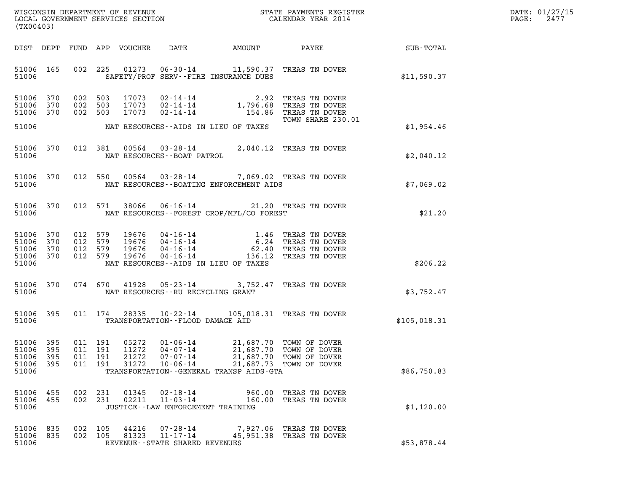| DATE: | 01/27/15 |
|-------|----------|
| PAGE: | 2477     |

| (TX00403)                                     |                       |                                          |            |                                  |                                                                         |                                                                                     |                                                                                |              | DATE: 01/27/15<br>PAGE:<br>2477 |
|-----------------------------------------------|-----------------------|------------------------------------------|------------|----------------------------------|-------------------------------------------------------------------------|-------------------------------------------------------------------------------------|--------------------------------------------------------------------------------|--------------|---------------------------------|
|                                               |                       |                                          |            | DIST DEPT FUND APP VOUCHER       | DATE                                                                    | AMOUNT                                                                              | PAYEE                                                                          | SUB-TOTAL    |                                 |
| 51006 165<br>51006                            |                       |                                          | 002 225    | 01273                            |                                                                         | SAFETY/PROF SERV--FIRE INSURANCE DUES                                               | 06-30-14 11,590.37 TREAS TN DOVER                                              | \$11,590.37  |                                 |
| 51006 370<br>51006<br>51006 370               | 370                   | 002 503<br>002 503<br>002 503            |            | 17073<br>17073<br>17073          | 02-14-14<br>02-14-14                                                    | 2.92<br>$02 - 14 - 14$ 1,796.68<br>154.86                                           | TREAS TN DOVER<br>TREAS TN DOVER<br>TREAS TN DOVER<br>TOWN SHARE 230.01        |              |                                 |
| 51006                                         |                       |                                          |            |                                  |                                                                         | NAT RESOURCES--AIDS IN LIEU OF TAXES                                                |                                                                                | \$1,954.46   |                                 |
| 51006 370<br>51006                            |                       |                                          | 012 381    | 00564                            | NAT RESOURCES - - BOAT PATROL                                           |                                                                                     | 03-28-14 2,040.12 TREAS TN DOVER                                               | \$2,040.12   |                                 |
| 51006 370<br>51006                            |                       |                                          | 012 550    | 00564                            |                                                                         | NAT RESOURCES--BOATING ENFORCEMENT AIDS                                             | 03-28-14 7,069.02 TREAS TN DOVER                                               | \$7,069.02   |                                 |
| 51006 370<br>51006                            |                       |                                          | 012 571    | 38066                            | 06-16-14                                                                | NAT RESOURCES--FOREST CROP/MFL/CO FOREST                                            | 21.20 TREAS TN DOVER                                                           | \$21.20      |                                 |
| 51006<br>51006<br>51006<br>51006 370<br>51006 | 370<br>370<br>370     | 012 579<br>012 579<br>012 579<br>012 579 |            | 19676<br>19676<br>19676<br>19676 | 04 - 16 - 14<br>04 - 16 - 14<br>04-16-14<br>04-16-14                    | 62.40<br>136.12<br>NAT RESOURCES--AIDS IN LIEU OF TAXES                             | 1.46 TREAS TN DOVER<br>6.24 TREAS TN DOVER<br>TREAS TN DOVER<br>TREAS TN DOVER | \$206.22     |                                 |
| 51006 370<br>51006                            |                       |                                          |            |                                  | NAT RESOURCES -- RU RECYCLING GRANT                                     |                                                                                     | 074 670 41928 05-23-14 3,752.47 TREAS TN DOVER                                 | \$3,752.47   |                                 |
| 51006 395<br>51006                            |                       |                                          | 011 174    | 28335                            | TRANSPORTATION--FLOOD DAMAGE AID                                        |                                                                                     | 10-22-14 105,018.31 TREAS TN DOVER                                             | \$105,018.31 |                                 |
| 51006 395<br>51006<br>51006<br>51006<br>51006 | - 395<br>- 395<br>395 | 011 191<br>011 191<br>011 191            | 011 191    | 05272<br>11272<br>21272<br>31272 | 01-06-14<br>$04 - 07 - 14$<br>$07 - 07 - 14$<br>$10 - 06 - 14$          | 21,687.70<br>21,687.70<br>21,687.73<br>TRANSPORTATION - - GENERAL TRANSP AIDS - GTA | 21,687.70 TOWN OF DOVER<br>TOWN OF DOVER<br>TOWN OF DOVER<br>TOWN OF DOVER     | \$86,750.83  |                                 |
| 51006<br>51006 455<br>51006                   | 455                   | 002<br>002                               | 231<br>231 | 01345<br>02211                   | $02 - 18 - 14$<br>$11 - 03 - 14$<br>JUSTICE -- LAW ENFORCEMENT TRAINING | 960.00<br>160.00                                                                    | TREAS TN DOVER<br>TREAS TN DOVER                                               | \$1,120.00   |                                 |
| 51006 835<br>51006<br>51006                   | 835                   | 002 105<br>002 105                       |            | 44216<br>81323                   | $07 - 28 - 14$<br>$11 - 17 - 14$<br>REVENUE - - STATE SHARED REVENUES   |                                                                                     | 7,927.06 TREAS TN DOVER<br>45,951.38 TREAS TN DOVER                            | \$53,878.44  |                                 |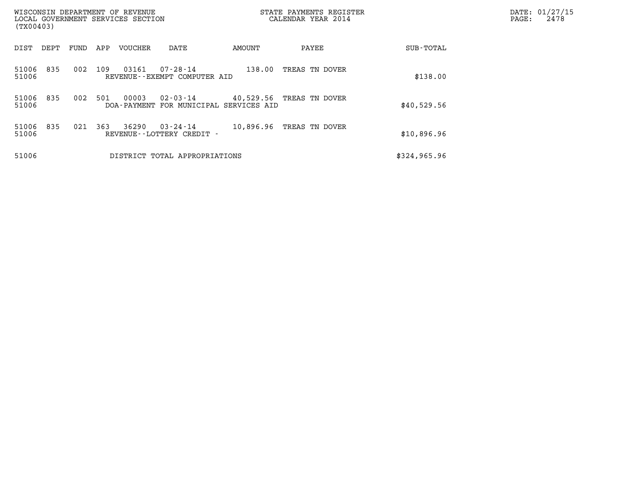| WISCONSIN DEPARTMENT OF REVENUE<br>LOCAL GOVERNMENT SERVICES SECTION<br>(TX00403) |      |     |         |                                                          |           | STATE PAYMENTS REGISTER<br>CALENDAR YEAR 2014 |              | DATE: 01/27/15<br>2478<br>PAGE: |
|-----------------------------------------------------------------------------------|------|-----|---------|----------------------------------------------------------|-----------|-----------------------------------------------|--------------|---------------------------------|
| DIST<br>DEPT                                                                      | FUND | APP | VOUCHER | DATE                                                     | AMOUNT    | PAYEE                                         | SUB-TOTAL    |                                 |
| 51006<br>835<br>51006                                                             | 002  | 109 | 03161   | $07 - 28 - 14$<br>REVENUE--EXEMPT COMPUTER AID           | 138.00    | TREAS TN DOVER                                | \$138.00     |                                 |
| 51006<br>835<br>51006                                                             | 002  | 501 | 00003   | $02 - 03 - 14$<br>DOA-PAYMENT FOR MUNICIPAL SERVICES AID |           | 40,529.56 TREAS TN DOVER                      | \$40,529.56  |                                 |
| 51006<br>835<br>51006                                                             | 021  | 363 | 36290   | $03 - 24 - 14$<br>REVENUE--LOTTERY CREDIT -              | 10,896.96 | TREAS TN DOVER                                | \$10,896.96  |                                 |
| 51006                                                                             |      |     |         | DISTRICT TOTAL APPROPRIATIONS                            |           |                                               | \$324,965.96 |                                 |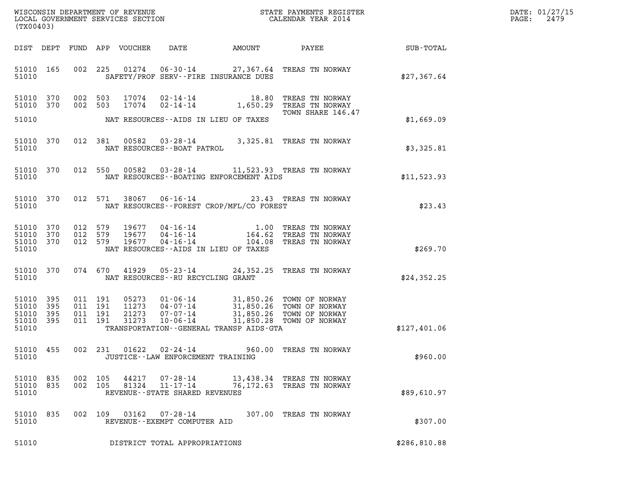| (TX00403)                                         |            |                               |                               |                            |                                                                 |                                             |                                                                                                                                                                          |                 | DATE: 01/27/15<br>2479<br>$\mathtt{PAGE:}$ |
|---------------------------------------------------|------------|-------------------------------|-------------------------------|----------------------------|-----------------------------------------------------------------|---------------------------------------------|--------------------------------------------------------------------------------------------------------------------------------------------------------------------------|-----------------|--------------------------------------------|
|                                                   |            |                               |                               | DIST DEPT FUND APP VOUCHER | DATE                                                            | AMOUNT                                      |                                                                                                                                                                          | PAYEE SUB-TOTAL |                                            |
| 51010                                             | 51010 165  |                               |                               |                            |                                                                 | SAFETY/PROF SERV--FIRE INSURANCE DUES       | 002 225 01274 06-30-14 27,367.64 TREAS TN NORWAY                                                                                                                         | \$27,367.64     |                                            |
| 51010 370<br>51010 370<br>51010                   |            |                               | 002 503<br>002 503            |                            |                                                                 | NAT RESOURCES--AIDS IN LIEU OF TAXES        | TOWN SHARE 146.47                                                                                                                                                        | \$1,669.09      |                                            |
| 51010                                             | 51010 370  |                               |                               |                            | NAT RESOURCES - - BOAT PATROL                                   |                                             | 012 381 00582 03-28-14 3,325.81 TREAS TN NORWAY                                                                                                                          | \$3,325.81      |                                            |
| 51010                                             | 51010 370  |                               |                               |                            |                                                                 | NAT RESOURCES - - BOATING ENFORCEMENT AIDS  | 012 550 00582 03-28-14 11,523.93 TREAS TN NORWAY                                                                                                                         | \$11,523.93     |                                            |
| 51010                                             | 51010 370  |                               |                               |                            |                                                                 | NAT RESOURCES - - FOREST CROP/MFL/CO FOREST | 012 571 38067 06-16-14 23.43 TREAS TN NORWAY                                                                                                                             | \$23.43         |                                            |
| 51010 370<br>51010<br>51010 370<br>51010          | 370        | 012 579<br>012 579<br>012 579 |                               |                            |                                                                 | NAT RESOURCES -- AIDS IN LIEU OF TAXES      | 19677  04-16-14   1.00 TREAS TN NORWAY<br>19677  04-16-14   164.62 TREAS TN NORWAY<br>19677  04-16-14   104.08 TREAS TN NORWAY                                           | \$269.70        |                                            |
| 51010                                             | 51010 370  |                               |                               |                            | NAT RESOURCES--RU RECYCLING GRANT                               |                                             | 074 670 41929 05-23-14 24,352.25 TREAS TN NORWAY                                                                                                                         | \$24,352.25     |                                            |
| 51010 395<br>51010<br>51010<br>51010 395<br>51010 | 395<br>395 | 011 191                       | 011 191<br>011 191<br>011 191 |                            |                                                                 | TRANSPORTATION--GENERAL TRANSP AIDS-GTA     | 05273 01-06-14 31,850.26 TOWN OF NORWAY<br>11273 04-07-14 31,850.26 TOWN OF NORWAY<br>21273 07-07-14 31,850.26 TOWN OF NORWAY<br>31273 10-06-14 31,850.28 TOWN OF NORWAY | \$127,401.06    |                                            |
| 51010 455<br>51010                                |            |                               | 002 231                       |                            | $01622$ $02 - 24 - 14$<br>JUSTICE - - LAW ENFORCEMENT TRAINING  |                                             | 960.00 TREAS TN NORWAY                                                                                                                                                   | \$960.00        |                                            |
| 51010<br>51010<br>51010                           | 835<br>835 | 002 105<br>002 105            |                               | 44217<br>81324             | 07-28-14<br>$11 - 17 - 14$<br>REVENUE - - STATE SHARED REVENUES |                                             | 13,438.34 TREAS TN NORWAY<br>76,172.63 TREAS TN NORWAY                                                                                                                   | \$89,610.97     |                                            |
| 51010 835<br>51010                                |            |                               |                               | 002 109 03162              | 07-28-14<br>REVENUE--EXEMPT COMPUTER AID                        |                                             | 307.00 TREAS TN NORWAY                                                                                                                                                   | \$307.00        |                                            |
| 51010                                             |            |                               |                               |                            | DISTRICT TOTAL APPROPRIATIONS                                   |                                             |                                                                                                                                                                          | \$286,810.88    |                                            |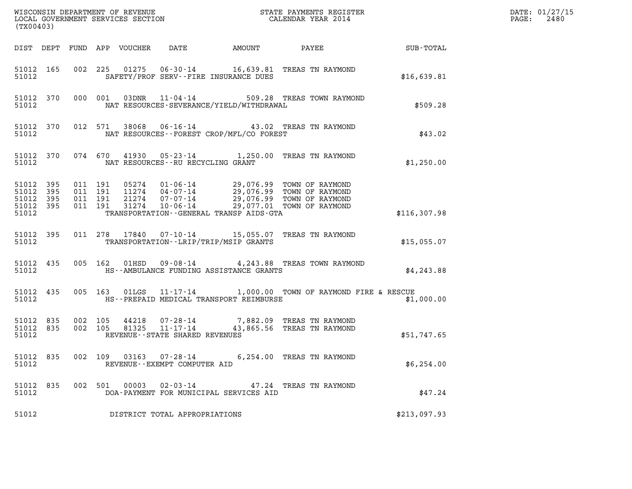| (TX00403)                                |                  |                                          |         |                            |                                   |                                          |                                                                                                                                                                                          |              | DATE: 01/27/15<br>2480<br>$\mathtt{PAGE:}$ |
|------------------------------------------|------------------|------------------------------------------|---------|----------------------------|-----------------------------------|------------------------------------------|------------------------------------------------------------------------------------------------------------------------------------------------------------------------------------------|--------------|--------------------------------------------|
|                                          |                  |                                          |         | DIST DEPT FUND APP VOUCHER | DATE                              | AMOUNT                                   | PAYEE                                                                                                                                                                                    | SUB-TOTAL    |                                            |
| 51012                                    | 51012 165        |                                          |         |                            |                                   | SAFETY/PROF SERV--FIRE INSURANCE DUES    | 002 225 01275 06-30-14 16,639.81 TREAS TN RAYMOND                                                                                                                                        | \$16,639.81  |                                            |
| 51012                                    | 51012 370        |                                          | 000 001 |                            |                                   | NAT RESOURCES-SEVERANCE/YIELD/WITHDRAWAL | 03DNR  11-04-14  509.28 TREAS TOWN RAYMOND                                                                                                                                               | \$509.28     |                                            |
| 51012                                    | 51012 370        |                                          |         |                            |                                   | NAT RESOURCES--FOREST CROP/MFL/CO FOREST | 012 571 38068 06-16-14 43.02 TREAS TN RAYMOND                                                                                                                                            | \$43.02      |                                            |
| 51012                                    | 51012 370        |                                          |         |                            | NAT RESOURCES--RU RECYCLING GRANT |                                          | 074 670 41930 05-23-14 1,250.00 TREAS TN RAYMOND                                                                                                                                         | \$1,250.00   |                                            |
| 51012<br>51012 395<br>51012 395<br>51012 | 51012 395<br>395 | 011 191<br>011 191<br>011 191<br>011 191 |         |                            |                                   | TRANSPORTATION--GENERAL TRANSP AIDS-GTA  | 05274  01-06-14  29,076.99  TOWN OF RAYMOND<br>11274  04-07-14  29,076.99  TOWN OF RAYMOND<br>21274  07-07-14  29,076.99  TOWN OF RAYMOND<br>31274  10-06-14  29,077.01  TOWN OF RAYMOND | \$116,307.98 |                                            |
| 51012                                    | 51012 395        |                                          |         |                            |                                   | TRANSPORTATION - - LRIP/TRIP/MSIP GRANTS | 011  278  17840  07-10-14  15,055.07  TREAS TN RAYMOND                                                                                                                                   | \$15,055.07  |                                            |
| 51012 435<br>51012                       |                  |                                          |         | 005 162 01HSD              |                                   | HS--AMBULANCE FUNDING ASSISTANCE GRANTS  | 09-08-14 4, 243.88 TREAS TOWN RAYMOND                                                                                                                                                    | \$4,243.88   |                                            |
| 51012 435<br>51012                       |                  |                                          |         |                            |                                   | HS--PREPAID MEDICAL TRANSPORT REIMBURSE  | 005 163 01LGS 11-17-14 1,000.00 TOWN OF RAYMOND FIRE & RESCUE                                                                                                                            | \$1,000.00   |                                            |
| 51012 835<br>51012 835<br>51012          |                  | 002 105<br>002 105                       |         |                            | REVENUE - - STATE SHARED REVENUES |                                          | $44218$ $07 - 28 - 14$ 7,882.09 TREAS TN RAYMOND<br>81325 11-17-14 43,865.56 TREAS TN RAYMOND                                                                                            | \$51,747.65  |                                            |
| 51012                                    | 51012 835        |                                          |         |                            | REVENUE--EXEMPT COMPUTER AID      |                                          | 002 109 03163 07-28-14 6,254.00 TREAS TN RAYMOND                                                                                                                                         | \$6,254.00   |                                            |
| 51012 835<br>51012                       |                  |                                          |         | 002 501 00003              | $02 - 03 - 14$                    | DOA-PAYMENT FOR MUNICIPAL SERVICES AID   | 47.24 TREAS TN RAYMOND                                                                                                                                                                   | \$47.24      |                                            |
| 51012                                    |                  |                                          |         |                            | DISTRICT TOTAL APPROPRIATIONS     |                                          |                                                                                                                                                                                          | \$213,097.93 |                                            |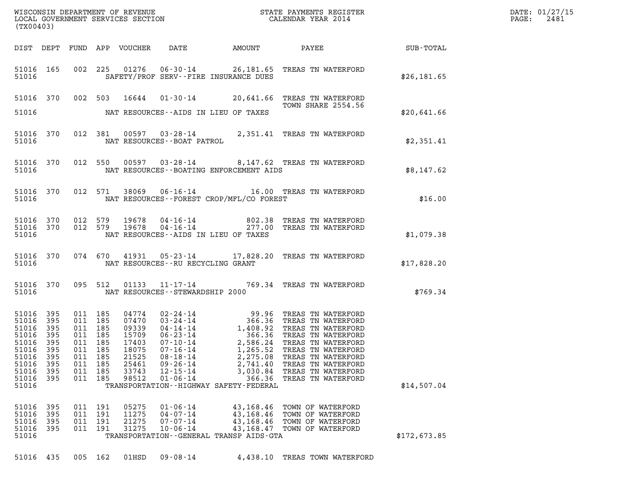| (TX00403)                                                                                               |                                                      |                                 |                                                                                        |                                           |                                                                                                    |                                                                                                       |                                                                                                                                                                                                                                                                                                                                                      |              | PATE: 01/27/15<br>PAGE: 2481 |
|---------------------------------------------------------------------------------------------------------|------------------------------------------------------|---------------------------------|----------------------------------------------------------------------------------------|-------------------------------------------|----------------------------------------------------------------------------------------------------|-------------------------------------------------------------------------------------------------------|------------------------------------------------------------------------------------------------------------------------------------------------------------------------------------------------------------------------------------------------------------------------------------------------------------------------------------------------------|--------------|------------------------------|
|                                                                                                         |                                                      |                                 |                                                                                        |                                           |                                                                                                    |                                                                                                       | DIST DEPT FUND APP VOUCHER DATE AMOUNT PAYEE PAYEE SUB-TOTAL                                                                                                                                                                                                                                                                                         |              |                              |
|                                                                                                         | 51016                                                |                                 |                                                                                        |                                           |                                                                                                    | SAFETY/PROF SERV--FIRE INSURANCE DUES                                                                 | 51016 165 002 225 01276 06-30-14 26,181.65 TREAS TN WATERFORD                                                                                                                                                                                                                                                                                        | \$26, 181.65 |                              |
|                                                                                                         |                                                      |                                 |                                                                                        |                                           |                                                                                                    |                                                                                                       | 51016 370 002 503 16644 01-30-14 20,641.66 TREAS TN WATERFORD<br><b>TOWN SHARE 2554.56</b>                                                                                                                                                                                                                                                           |              |                              |
|                                                                                                         |                                                      |                                 |                                                                                        |                                           |                                                                                                    | 51016 MAT RESOURCES--AIDS IN LIEU OF TAXES                                                            |                                                                                                                                                                                                                                                                                                                                                      | \$20,641.66  |                              |
|                                                                                                         |                                                      |                                 |                                                                                        |                                           | 51016 MAT RESOURCES--BOAT PATROL                                                                   |                                                                                                       | 51016 370 012 381 00597 03-28-14 2,351.41 TREAS TN WATERFORD                                                                                                                                                                                                                                                                                         | \$2,351.41   |                              |
|                                                                                                         |                                                      |                                 |                                                                                        |                                           |                                                                                                    |                                                                                                       | 51016 370 012 550 00597 03-28-14 8,147.62 TREAS TN WATERFORD<br>51016 MAT RESOURCES--BOATING ENFORCEMENT AIDS                                                                                                                                                                                                                                        | \$8,147.62   |                              |
|                                                                                                         |                                                      |                                 |                                                                                        |                                           |                                                                                                    | 51016 MAT RESOURCES--FOREST CROP/MFL/CO FOREST                                                        | 51016 370 012 571 38069 06-16-14 16.00 TREAS TN WATERFORD                                                                                                                                                                                                                                                                                            | \$16.00      |                              |
|                                                                                                         | 51016                                                |                                 |                                                                                        |                                           |                                                                                                    | NAT RESOURCES--AIDS IN LIEU OF TAXES                                                                  | $51016$ 370 012 579 19678 04-16-14 802.38 TREAS TN WATERFORD 51016 370 012 579 19678 04-16-14 277.00 TREAS TN WATERFORD                                                                                                                                                                                                                              | \$1,079.38   |                              |
|                                                                                                         |                                                      |                                 |                                                                                        |                                           | 51016 MAT RESOURCES--RU RECYCLING GRANT                                                            |                                                                                                       | 51016 370 074 670 41931 05-23-14 17,828.20 TREAS TN WATERFORD                                                                                                                                                                                                                                                                                        | \$17,828.20  |                              |
|                                                                                                         |                                                      |                                 |                                                                                        |                                           | 51016 NAT RESOURCES - STEWARDSHIP 2000                                                             |                                                                                                       | 51016 370 095 512 01133 11-17-14 769.34 TREAS TN WATERFORD                                                                                                                                                                                                                                                                                           | \$769.34     |                              |
| 51016 395<br>51016<br>51016<br>51016<br>51016 395<br>51016<br>51016<br>51016<br>51016<br>51016<br>51016 | 395<br>395<br>395<br>395<br>395<br>395<br>395<br>395 | 011<br>011<br>011<br>011<br>011 | 011 185<br>011 185<br>011 185<br>011 185<br>011 185<br>185<br>185<br>185<br>185<br>185 | 18075<br>21525<br>25461<br>33743<br>98512 | $07 - 16 - 14$<br>$08 - 18 - 14$<br>$09 - 26 - 14$<br>$12 - 15 - 14$<br>$01 - 06 - 14$             | 1,265.52<br>2,275.08<br>2,741.40<br>3,030.84<br>366.36<br>TRANSPORTATION - - HIGHWAY SAFETY - FEDERAL | 04774  02-24-14  99.96 TREAS TN WATERFORD<br>07470  03-24-14  366.36 TREAS TN WATERFORD<br>09339  04-14-14  1,408.92 TREAS TN WATERFORD<br>15709  06-23-14  2,586.24 TREAS TN WATERFORD<br>17403  07-10-14  2,586.24 TREAS TN WATERFOR<br>TREAS TN WATERFORD<br>TREAS TN WATERFORD<br>TREAS TN WATERFORD<br>TREAS TN WATERFORD<br>TREAS TN WATERFORD | \$14,507.04  |                              |
| 51016<br>51016<br>51016<br>51016<br>51016                                                               | 395<br>395<br>395<br>395                             | 011<br>011<br>011<br>011        | 191<br>191<br>191<br>191                                                               | 05275<br>11275<br>21275<br>31275          | $01 - 06 - 14$<br>$04 - 07 - 14$<br>$07 - 07 - 14$<br>$10 - 06 - 14$<br>TRANSPORTATION - - GENERAL | 43,168.46<br>43,168.46<br>43,168.46<br>43,168.47<br>TRANSP AIDS-GTA                                   | TOWN OF WATERFORD<br>TOWN OF WATERFORD<br>TOWN OF WATERFORD<br>TOWN OF WATERFORD                                                                                                                                                                                                                                                                     | \$172,673.85 |                              |
| 51016 435                                                                                               |                                                      |                                 | 005 162                                                                                | 01HSD                                     | $09 - 08 - 14$                                                                                     |                                                                                                       | 4,438.10 TREAS TOWN WATERFORD                                                                                                                                                                                                                                                                                                                        |              |                              |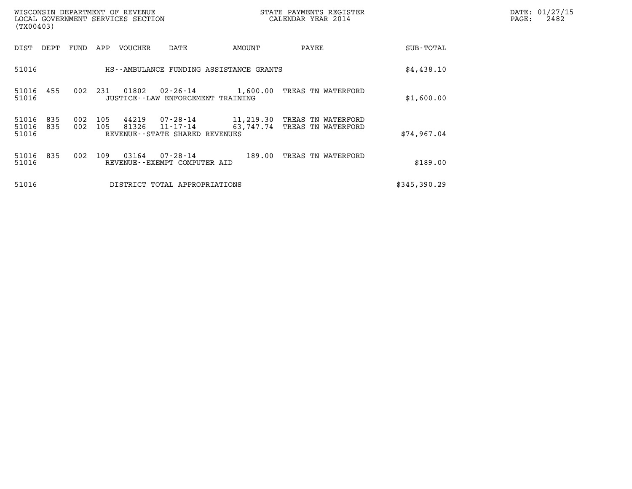| WISCONSIN DEPARTMENT OF REVENUE<br>LOCAL GOVERNMENT SERVICES SECTION<br>(TX00403) |            |            |                |                                                        |                        | DATE: 01/27/15<br>$\mathtt{PAGE}$ :<br>2482 |              |  |
|-----------------------------------------------------------------------------------|------------|------------|----------------|--------------------------------------------------------|------------------------|---------------------------------------------|--------------|--|
| DIST<br>DEPT                                                                      | FUND       | APP        | VOUCHER        | DATE                                                   | AMOUNT                 | PAYEE                                       | SUB-TOTAL    |  |
| 51016                                                                             |            |            |                | HS--AMBULANCE FUNDING ASSISTANCE GRANTS                |                        |                                             | \$4,438.10   |  |
| 51016<br>455<br>51016                                                             | 002        | 231        | 01802          | $02 - 26 - 14$<br>JUSTICE - - LAW ENFORCEMENT TRAINING |                        | 1,600.00 TREAS TN WATERFORD                 | \$1,600.00   |  |
| 51016<br>835<br>51016<br>835<br>51016                                             | 002<br>002 | 105<br>105 | 44219<br>81326 | 07-28-14<br>11-17-14<br>REVENUE--STATE SHARED REVENUES | 11,219.30<br>63,747.74 | TREAS TN WATERFORD<br>TREAS TN WATERFORD    | \$74,967.04  |  |
| 51016<br>835<br>51016                                                             | 002        | 109        | 03164          | 07-28-14<br>REVENUE - - EXEMPT COMPUTER AID            | 189.00                 | TREAS TN WATERFORD                          | \$189.00     |  |
| 51016                                                                             |            |            |                | DISTRICT TOTAL APPROPRIATIONS                          |                        |                                             | \$345,390.29 |  |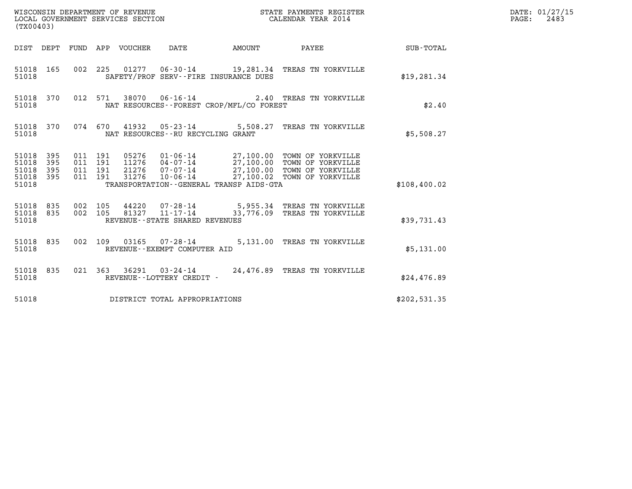| (TX00403)                                                       |                                          |                                 |                                          |                           | STATE PAYMENTS REGISTER                                                                                                                                                              |                  | DATE: 01/27/15<br>$\mathtt{PAGE:}$<br>2483 |
|-----------------------------------------------------------------|------------------------------------------|---------------------------------|------------------------------------------|---------------------------|--------------------------------------------------------------------------------------------------------------------------------------------------------------------------------------|------------------|--------------------------------------------|
|                                                                 |                                          | DIST DEPT FUND APP VOUCHER DATE |                                          | <b>EXAMPLE THE AMOUNT</b> | PAYEE                                                                                                                                                                                | <b>SUB-TOTAL</b> |                                            |
| 51018 165<br>51018                                              |                                          |                                 | SAFETY/PROF SERV--FIRE INSURANCE DUES    |                           | 002 225 01277 06-30-14 19,281.34 TREAS TN YORKVILLE                                                                                                                                  | \$19, 281.34     |                                            |
| 51018 370<br>51018                                              |                                          |                                 | NAT RESOURCES--FOREST CROP/MFL/CO FOREST |                           | 012 571 38070 06-16-14 2.40 TREAS TN YORKVILLE                                                                                                                                       | \$2.40           |                                            |
| 51018 370<br>51018                                              |                                          |                                 | NAT RESOURCES--RU RECYCLING GRANT        |                           | 074 670 41932 05-23-14 5,508.27 TREAS TN YORKVILLE                                                                                                                                   | \$5,508.27       |                                            |
| 51018 395<br>51018<br>395<br>51018<br>395<br>51018 395<br>51018 | 011 191<br>011 191<br>011 191<br>011 191 | 31276                           | TRANSPORTATION--GENERAL TRANSP AIDS-GTA  |                           | 05276  01-06-14  27,100.00 TOWN OF YORKVILLE<br>11276  04-07-14  27,100.00 TOWN OF YORKVILLE<br>21276  07-07-14  27,100.00 TOWN OF YORKVILLE<br>10-06-14 27,100.02 TOWN OF YORKVILLE | \$108,400.02     |                                            |
| 51018 835<br>51018 835<br>51018                                 | 002 105<br>002 105                       |                                 | REVENUE--STATE SHARED REVENUES           |                           | 44220  07-28-14  5,955.34 TREAS TN YORKVILLE<br>81327  11-17-14  33,776.09 TREAS TN YORKVILLE                                                                                        | \$39,731.43      |                                            |
| 51018 835<br>51018                                              | 002 109                                  |                                 | REVENUE--EXEMPT COMPUTER AID             |                           | 03165  07-28-14  5,131.00  TREAS TN YORKVILLE                                                                                                                                        | \$5,131.00       |                                            |
| 51018 835<br>51018                                              |                                          |                                 | REVENUE--LOTTERY CREDIT -                |                           | 021 363 36291 03-24-14 24,476.89 TREAS TN YORKVILLE                                                                                                                                  | \$24,476.89      |                                            |
| 51018                                                           |                                          |                                 | DISTRICT TOTAL APPROPRIATIONS            |                           |                                                                                                                                                                                      | \$202,531.35     |                                            |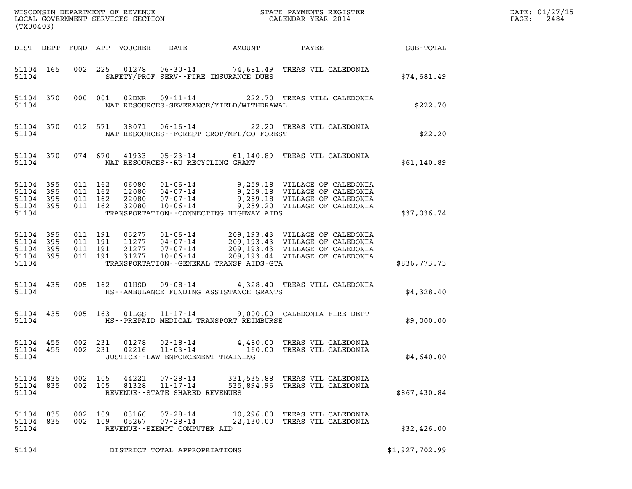| (TX00403)                                                 |           |                               |                               |                            |                                                                    |                                            |                                                                                                                                                                                                      |                | DATE: 01/27/15<br>2484<br>$\mathtt{PAGE:}$ |
|-----------------------------------------------------------|-----------|-------------------------------|-------------------------------|----------------------------|--------------------------------------------------------------------|--------------------------------------------|------------------------------------------------------------------------------------------------------------------------------------------------------------------------------------------------------|----------------|--------------------------------------------|
|                                                           |           |                               |                               | DIST DEPT FUND APP VOUCHER | DATE                                                               | <b>AMOUNT</b>                              | PAYEE SUB-TOTAL                                                                                                                                                                                      |                |                                            |
| 51104                                                     | 51104 165 |                               |                               |                            |                                                                    | SAFETY/PROF SERV--FIRE INSURANCE DUES      | 002 225 01278 06-30-14 74,681.49 TREAS VIL CALEDONIA                                                                                                                                                 | \$74,681.49    |                                            |
| 51104                                                     | 51104 370 |                               | 000 001                       | 02DNR                      |                                                                    | NAT RESOURCES-SEVERANCE/YIELD/WITHDRAWAL   | 09-11-14 222.70 TREAS VILL CALEDONIA                                                                                                                                                                 | \$222.70       |                                            |
| 51104                                                     | 51104 370 |                               | 012 571                       |                            |                                                                    | NAT RESOURCES--FOREST CROP/MFL/CO FOREST   | 38071  06-16-14  22.20 TREAS VIL CALEDONIA                                                                                                                                                           | \$22.20        |                                            |
| 51104                                                     | 51104 370 |                               |                               |                            |                                                                    | NAT RESOURCES--RU RECYCLING GRANT          | 074 670 41933 05-23-14 61,140.89 TREAS VIL CALEDONIA                                                                                                                                                 | \$61,140.89    |                                            |
| 51104 395<br>51104<br>51104 395<br>51104 395<br>51104     | 395       | 011 162<br>011 162<br>011 162 | 011 162                       |                            |                                                                    | TRANSPORTATION - - CONNECTING HIGHWAY AIDS | 06080 01-06-14 9,259.18 VILLAGE OF CALEDONIA<br>12080 04-07-14 9,259.18 VILLAGE OF CALEDONIA<br>22080 07-07-14 9,259.18 VILLAGE OF CALEDONIA<br>32080 10-06-14 9,259.20 VILLAGE OF CALEDONIA         | \$37,036.74    |                                            |
| 51104 395<br>51104 395<br>51104 395<br>51104 395<br>51104 |           | 011 191                       | 011 191<br>011 191<br>011 191 |                            |                                                                    | TRANSPORTATION--GENERAL TRANSP AIDS-GTA    | 05277 01-06-14 209,193.43 VILLAGE OF CALEDONIA<br>11277 04-07-14 209,193.43 VILLAGE OF CALEDONIA<br>21277 07-07-14 209,193.43 VILLAGE OF CALEDONIA<br>31277 10-06-14 209,193.44 VILLAGE OF CALEDONIA | \$836,773.73   |                                            |
| 51104                                                     | 51104 435 |                               | 005 162                       | 01HSD                      |                                                                    | HS--AMBULANCE FUNDING ASSISTANCE GRANTS    | 09-08-14 4,328.40 TREAS VILL CALEDONIA                                                                                                                                                               | \$4,328.40     |                                            |
| 51104                                                     | 51104 435 |                               | 005 163                       |                            |                                                                    | HS--PREPAID MEDICAL TRANSPORT REIMBURSE    | 01LGS  11-17-14  9,000.00 CALEDONIA FIRE DEPT                                                                                                                                                        | \$9,000.00     |                                            |
| 51104 455<br>51104 455<br>51104                           |           |                               | 002 231<br>002 231            | 01278                      | 02-18-14<br>02216 11-03-14<br>JUSTICE - - LAW ENFORCEMENT TRAINING |                                            | 4,480.00 TREAS VIL CALEDONIA<br>160.00 TREAS VIL CALEDONIA                                                                                                                                           | \$4,640.00     |                                            |
| 51104 835<br>51104 835<br>51104                           |           | 002 105                       | 002 105                       | 44221<br>81328             | 07-28-14<br>$11 - 17 - 14$<br>REVENUE - - STATE SHARED REVENUES    |                                            | 331,535.88 TREAS VIL CALEDONIA<br>535,894.96 TREAS VIL CALEDONIA                                                                                                                                     | \$867,430.84   |                                            |
| 51104 835<br>51104 835<br>51104                           |           | 002 109<br>002 109            |                               | 03166<br>05267             | 07-28-14<br>$07 - 28 - 14$<br>REVENUE--EXEMPT COMPUTER AID         |                                            | 10,296.00 TREAS VIL CALEDONIA<br>22,130.00 TREAS VIL CALEDONIA                                                                                                                                       | \$32,426.00    |                                            |
| 51104                                                     |           |                               |                               |                            | DISTRICT TOTAL APPROPRIATIONS                                      |                                            |                                                                                                                                                                                                      | \$1,927,702.99 |                                            |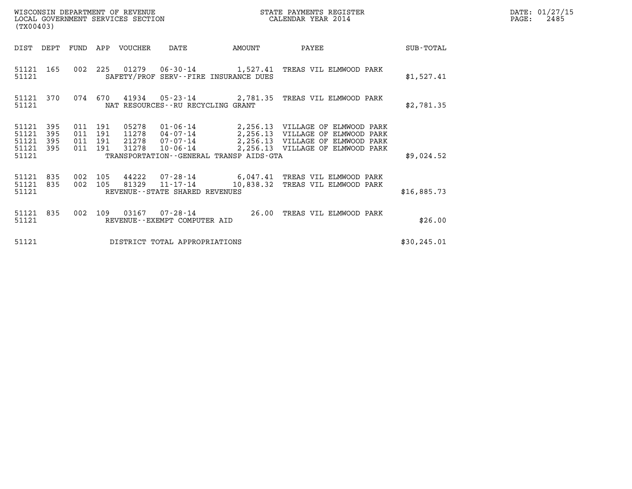|       | DATE: 01/27/15 |
|-------|----------------|
| PAGE: | 2485           |

| (TX00403)                                                          |                               | WISCONSIN DEPARTMENT OF REVENUE<br>LOCAL GOVERNMENT SERVICES SECTION |                                                                                                    | STATE PAYMENTS REGISTER<br>CALENDAR YEAR 2014                                                                                                         |              | DATE: 01/27/15<br>$\mathtt{PAGE:}$<br>2485 |
|--------------------------------------------------------------------|-------------------------------|----------------------------------------------------------------------|----------------------------------------------------------------------------------------------------|-------------------------------------------------------------------------------------------------------------------------------------------------------|--------------|--------------------------------------------|
| DIST<br>DEPT                                                       | FUND                          | APP VOUCHER                                                          | DATE<br>AMOUNT                                                                                     | PAYEE                                                                                                                                                 | SUB-TOTAL    |                                            |
| 51121 165<br>51121                                                 |                               | 002 225                                                              | SAFETY/PROF SERV--FIRE INSURANCE DUES                                                              | 01279   06-30-14   1,527.41   TREAS VIL ELMWOOD PARK                                                                                                  | \$1,527.41   |                                            |
| 51121 370<br>51121                                                 |                               | 074 670                                                              | NAT RESOURCES--RU RECYCLING GRANT                                                                  | 41934  05-23-14  2,781.35  TREAS VIL ELMWOOD PARK                                                                                                     | \$2,781.35   |                                            |
| 51121<br>395<br>395<br>51121<br>51121<br>395<br>51121 395<br>51121 | 011 191<br>011 191<br>011 191 | 05278<br>11278<br>21278<br>011 191<br>31278                          | $04 - 07 - 14$<br>$07 - 07 - 14$<br>$10 - 06 - 14$<br>TRANSPORTATION - - GENERAL TRANSP AIDS - GTA | 01-06-14 2,256.13 VILLAGE OF ELMWOOD PARK<br>2,256.13 VILLAGE OF ELMWOOD PARK<br>2,256.13 VILLAGE OF ELMWOOD PARK<br>2,256.13 VILLAGE OF ELMWOOD PARK | \$9,024.52   |                                            |
|                                                                    |                               |                                                                      |                                                                                                    |                                                                                                                                                       |              |                                            |
| 51121 835<br>51121 835<br>51121                                    | 002<br>002 105                | 105<br>44222<br>81329                                                | $11 - 17 - 14$<br>REVENUE - - STATE SHARED REVENUES                                                | $07 - 28 - 14$ 6,047.41 TREAS VIL ELMWOOD PARK<br>10,838.32 TREAS VIL ELMWOOD PARK                                                                    | \$16,885.73  |                                            |
| 51121 835<br>51121                                                 | 002                           | 109<br>REVENUE--EXEMPT COMPUTER AID                                  | 26.00                                                                                              | TREAS VIL ELMWOOD PARK                                                                                                                                | \$26.00      |                                            |
| 51121                                                              |                               |                                                                      | DISTRICT TOTAL APPROPRIATIONS                                                                      |                                                                                                                                                       | \$30, 245.01 |                                            |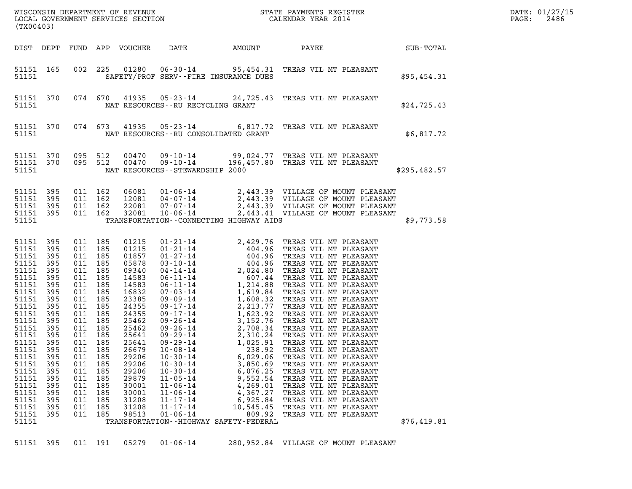| (TX00403)                                                                                                                                                                                                                                      |                                                                                                                                                               |                                                                                                                                      |                                                                                                                                                                       |                                                                                                                                                                                                                               |                                                                                                                                                                                                    |                                                                                                                                                                  |                                                                                                                                                                                                                                                                                          |              | DATE: 01/27/15<br>2486<br>$\mathtt{PAGE}$ : |
|------------------------------------------------------------------------------------------------------------------------------------------------------------------------------------------------------------------------------------------------|---------------------------------------------------------------------------------------------------------------------------------------------------------------|--------------------------------------------------------------------------------------------------------------------------------------|-----------------------------------------------------------------------------------------------------------------------------------------------------------------------|-------------------------------------------------------------------------------------------------------------------------------------------------------------------------------------------------------------------------------|----------------------------------------------------------------------------------------------------------------------------------------------------------------------------------------------------|------------------------------------------------------------------------------------------------------------------------------------------------------------------|------------------------------------------------------------------------------------------------------------------------------------------------------------------------------------------------------------------------------------------------------------------------------------------|--------------|---------------------------------------------|
|                                                                                                                                                                                                                                                | DIST DEPT                                                                                                                                                     |                                                                                                                                      |                                                                                                                                                                       | FUND APP VOUCHER                                                                                                                                                                                                              | DATE                                                                                                                                                                                               | AMOUNT                                                                                                                                                           | <b>PAYEE</b><br><b>SUB-TOTAL</b>                                                                                                                                                                                                                                                         |              |                                             |
| 51151 165<br>51151                                                                                                                                                                                                                             |                                                                                                                                                               |                                                                                                                                      | 002 225                                                                                                                                                               |                                                                                                                                                                                                                               |                                                                                                                                                                                                    | SAFETY/PROF SERV--FIRE INSURANCE DUES                                                                                                                            | 01280  06-30-14  95,454.31  TREAS VIL MT PLEASANT                                                                                                                                                                                                                                        | \$95,454.31  |                                             |
| 51151                                                                                                                                                                                                                                          | 51151 370                                                                                                                                                     |                                                                                                                                      |                                                                                                                                                                       |                                                                                                                                                                                                                               | NAT RESOURCES -- RU RECYCLING GRANT                                                                                                                                                                |                                                                                                                                                                  | 074 670 41935 05-23-14 24,725.43 TREAS VIL MT PLEASANT                                                                                                                                                                                                                                   | \$24,725.43  |                                             |
| 51151 370<br>51151                                                                                                                                                                                                                             |                                                                                                                                                               |                                                                                                                                      | 074 673                                                                                                                                                               |                                                                                                                                                                                                                               | NAT RESOURCES - - RU CONSOLIDATED GRANT                                                                                                                                                            |                                                                                                                                                                  | 41935 05-23-14 6,817.72 TREAS VIL MT PLEASANT                                                                                                                                                                                                                                            | \$6,817.72   |                                             |
| 51151 370<br>51151 370<br>51151                                                                                                                                                                                                                |                                                                                                                                                               | 095 512                                                                                                                              | 095 512                                                                                                                                                               | 00470<br>00470                                                                                                                                                                                                                | NAT RESOURCES - - STEWARDSHIP 2000                                                                                                                                                                 |                                                                                                                                                                  | 09-10-14 99,024.77 TREAS VIL MT PLEASANT<br>09-10-14 196,457.80 TREAS VIL MT PLEASANT                                                                                                                                                                                                    | \$295,482.57 |                                             |
| 51151<br>51151<br>51151<br>51151 395<br>51151                                                                                                                                                                                                  | 395<br>395<br>395                                                                                                                                             | 011 162                                                                                                                              | 011 162<br>011 162<br>011 162                                                                                                                                         | 06081<br>12081<br>22081<br>32081                                                                                                                                                                                              |                                                                                                                                                                                                    | TRANSPORTATION--CONNECTING HIGHWAY AIDS                                                                                                                          | 01-06-14 2,443.39 VILLAGE OF MOUNT PLEASANT<br>04-07-14 2,443.39 VILLAGE OF MOUNT PLEASANT<br>07-07-14 2,443.39 VILLAGE OF MOUNT PLEASANT<br>10-06-14 2,443.41 VILLAGE OF MOUNT PLEASANT                                                                                                 | \$9,773.58   |                                             |
| 51151 395<br>51151<br>51151<br>51151<br>51151<br>51151<br>51151<br>51151<br>51151<br>51151<br>51151<br>51151<br>51151<br>51151<br>51151 395<br>51151<br>51151<br>51151<br>51151<br>51151<br>51151<br>51151<br>51151<br>51151<br>51151<br>51151 | 395<br>395<br>395<br>395<br>395<br>395<br>395<br>395<br>395<br>395<br>395<br>395<br>395<br>395<br>395<br>395<br>395<br>395<br>395<br>395<br>395<br>395<br>395 | 011 185<br>011 185<br>011 185<br>011 185<br>011 185<br>011 185<br>011<br>011<br>011<br>011<br>011<br>011<br>011<br>011<br>011<br>011 | 011 185<br>011 185<br>011 185<br>011 185<br>011 185<br>011 185<br>011 185<br>011 185<br>011 185<br>185<br>185<br>185<br>185<br>185<br>185<br>185<br>185<br>185<br>185 | 01215<br>01215<br>01857<br>05878<br>09340<br>14583<br>14583<br>16832<br>23385<br>24355<br>24355<br>25462<br>25462<br>25641<br>25641<br>26679<br>29206<br>29206<br>29206<br>29879<br>30001<br>30001<br>31208<br>31208<br>98513 | $09 - 29 - 14$<br>$10 - 08 - 14$<br>$10 - 30 - 14$<br>$10 - 30 - 14$<br>$10 - 30 - 14$<br>$11 - 05 - 14$<br>$11 - 06 - 14$<br>$11 - 06 - 14$<br>$11 - 17 - 14$<br>$11 - 17 - 14$<br>$01 - 06 - 14$ | 238.92<br>6,029.06<br>3,850.69<br>6,076.25<br>9,552.54<br>4,269.01<br>4,367.27<br>6,925.84<br>10,545.45<br>809.92<br>TRANSPORTATION - - HIGHWAY SAFETY - FEDERAL | 1,025.91 TREAS VIL MT PLEASANT<br>TREAS VIL MT PLEASANT<br>TREAS VIL MT PLEASANT<br>TREAS VIL MT PLEASANT<br>TREAS VIL MT PLEASANT<br>TREAS VIL MT PLEASANT<br>TREAS VIL MT PLEASANT<br>TREAS VIL MT PLEASANT<br>TREAS VIL MT PLEASANT<br>TREAS VIL MT PLEASANT<br>TREAS VIL MT PLEASANT | \$76,419.81  |                                             |
| 51151                                                                                                                                                                                                                                          | 395                                                                                                                                                           |                                                                                                                                      | 011 191                                                                                                                                                               | 05279                                                                                                                                                                                                                         | $01 - 06 - 14$                                                                                                                                                                                     |                                                                                                                                                                  | 280,952.84 VILLAGE OF MOUNT PLEASANT                                                                                                                                                                                                                                                     |              |                                             |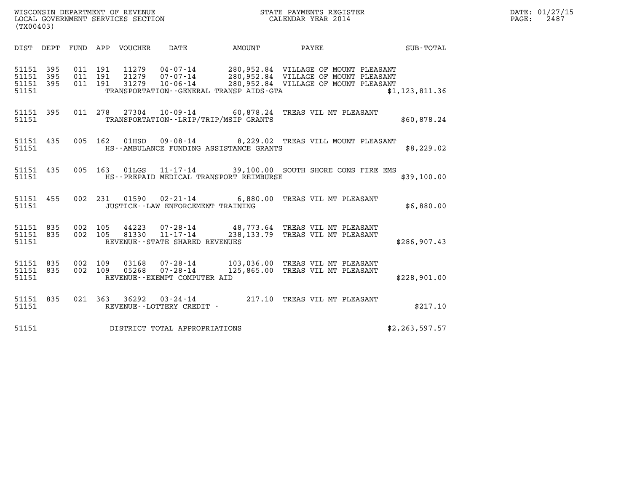| (TX00403)                                    |           |                    |                    |                            | WISCONSIN DEPARTMENT OF REVENUE<br>LOCAL GOVERNMENT SERVICES SECTION |                                              | STATE PAYMENTS REGISTER<br>CALENDAR YEAR 2014                                                                                                                              |                  | DATE: 01/27/15<br>PAGE:<br>2487 |
|----------------------------------------------|-----------|--------------------|--------------------|----------------------------|----------------------------------------------------------------------|----------------------------------------------|----------------------------------------------------------------------------------------------------------------------------------------------------------------------------|------------------|---------------------------------|
|                                              |           |                    |                    | DIST DEPT FUND APP VOUCHER | DATE                                                                 |                                              |                                                                                                                                                                            |                  |                                 |
| 51151 395<br>51151 395<br>51151 395<br>51151 |           | 011 191            | 011 191<br>011 191 |                            |                                                                      | TRANSPORTATION - - GENERAL TRANSP AIDS - GTA | 11279  04-07-14  280,952.84  VILLAGE OF MOUNT PLEASANT<br>21279  07-07-14  280,952.84  VILLAGE OF MOUNT PLEASANT<br>31279  10-06-14  280,952.84  VILLAGE OF MOUNT PLEASANT | \$1, 123, 811.36 |                                 |
| 51151 395<br>51151                           |           |                    | 011 278            |                            |                                                                      | TRANSPORTATION--LRIP/TRIP/MSIP GRANTS        | 27304  10-09-14  60,878.24 TREAS VIL MT PLEASANT                                                                                                                           | \$60,878.24      |                                 |
| 51151 435<br>51151                           |           |                    | 005 162            | 01HSD                      |                                                                      | HS--AMBULANCE FUNDING ASSISTANCE GRANTS      | 09-08-14 8,229.02 TREAS VILL MOUNT PLEASANT                                                                                                                                | \$8,229.02       |                                 |
| 51151                                        | 51151 435 |                    |                    |                            |                                                                      | HS--PREPAID MEDICAL TRANSPORT REIMBURSE      | 005 163 01LGS 11-17-14 39,100.00 SOUTH SHORE CONS FIRE EMS                                                                                                                 | \$39,100.00      |                                 |
| 51151 455<br>51151                           |           |                    |                    |                            | JUSTICE -- LAW ENFORCEMENT TRAINING                                  |                                              | 002 231 01590 02-21-14 6,880.00 TREAS VIL MT PLEASANT                                                                                                                      | \$6,880.00       |                                 |
| 51151 835<br>51151 835<br>51151              |           |                    | 002 105<br>002 105 |                            | REVENUE - - STATE SHARED REVENUES                                    |                                              | 44223  07-28-14  48,773.64 TREAS VIL MT PLEASANT<br>81330  11-17-14  238,133.79 TREAS VIL MT PLEASANT                                                                      | \$286, 907.43    |                                 |
| 51151 835<br>51151                           | 51151 835 | 002 109<br>002 109 |                    | 05268                      | REVENUE--EXEMPT COMPUTER AID                                         |                                              | 103,036.00 TREAS VIL MT PLEASANT<br>07-28-14 125,865.00 TREAS VIL MT PLEASANT                                                                                              | \$228,901.00     |                                 |
| 51151 835<br>51151                           |           |                    |                    |                            | REVENUE--LOTTERY CREDIT -                                            |                                              | 021 363 36292 03-24-14 217.10 TREAS VIL MT PLEASANT                                                                                                                        | \$217.10         |                                 |
| 51151                                        |           |                    |                    |                            | DISTRICT TOTAL APPROPRIATIONS                                        |                                              |                                                                                                                                                                            | \$2, 263, 597.57 |                                 |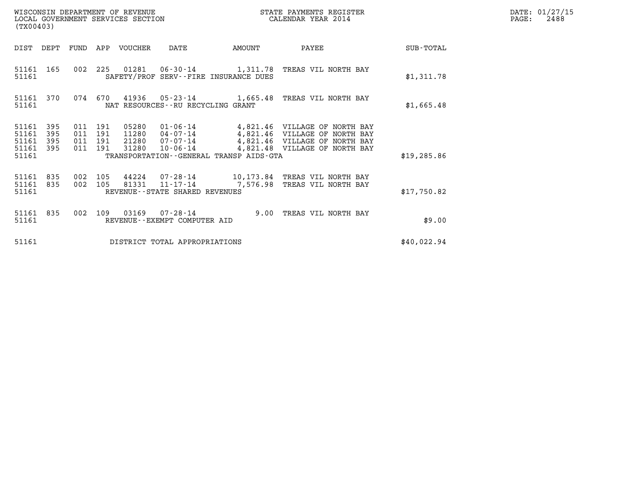| (TX00403)                                 |                          |                                      |         | WISCONSIN DEPARTMENT OF REVENUE<br>LOCAL GOVERNMENT SERVICES SECTION |                                                           |        | STATE PAYMENTS REGISTER<br>CALENDAR YEAR 2014                                                                                                                 |              | $\mathtt{PAGE:}$ | DATE: 01/27/15<br>2488 |
|-------------------------------------------|--------------------------|--------------------------------------|---------|----------------------------------------------------------------------|-----------------------------------------------------------|--------|---------------------------------------------------------------------------------------------------------------------------------------------------------------|--------------|------------------|------------------------|
| DIST DEPT                                 |                          | FUND                                 | APP     | VOUCHER                                                              | DATE                                                      | AMOUNT | PAYEE                                                                                                                                                         | SUB-TOTAL    |                  |                        |
| 51161 165<br>51161                        |                          |                                      |         |                                                                      | SAFETY/PROF SERV--FIRE INSURANCE DUES                     |        | 002 225 01281 06-30-14 1,311.78 TREAS VIL NORTH BAY                                                                                                           | \$1,311.78   |                  |                        |
| 51161 370<br>51161                        |                          |                                      | 074 670 |                                                                      | NAT RESOURCES--RU RECYCLING GRANT                         |        | 41936  05-23-14  1,665.48  TREAS VIL NORTH BAY                                                                                                                | \$1,665.48   |                  |                        |
| 51161<br>51161<br>51161<br>51161<br>51161 | 395<br>395<br>395<br>395 | 011 191<br>011 191<br>011 191<br>011 | 191     | 05280<br>11280<br>21280<br>31280                                     | $10 - 06 - 14$<br>TRANSPORTATION--GENERAL TRANSP AIDS-GTA |        | 01-06-14  4,821.46  VILLAGE OF NORTH BAY<br>04-07-14 4,821.46 VILLAGE OF NORTH BAY<br>07-07-14 4,821.46 VILLAGE OF NORTH BAY<br>4,821.48 VILLAGE OF NORTH BAY | \$19, 285.86 |                  |                        |
| 51161<br>51161<br>51161                   | 835<br>835               | 002 105<br>002 105                   |         | 44224<br>81331                                                       | 07-28-14<br>REVENUE - - STATE SHARED REVENUES             |        | 10,173.84 TREAS VIL NORTH BAY<br>11-17-14 7,576.98 TREAS VIL NORTH BAY                                                                                        | \$17,750.82  |                  |                        |

51161 835 002 109 03169 07-28-14 9.00 TREAS VIL NORTH BAY

51161 835 002 109 03169 07-28-14 9.00 TREAS VIL NORTH BAY<br>51161 REVENUE--EXEMPT COMPUTER AID

51161 DISTRICT TOTAL APPROPRIATIONS \$40,022.94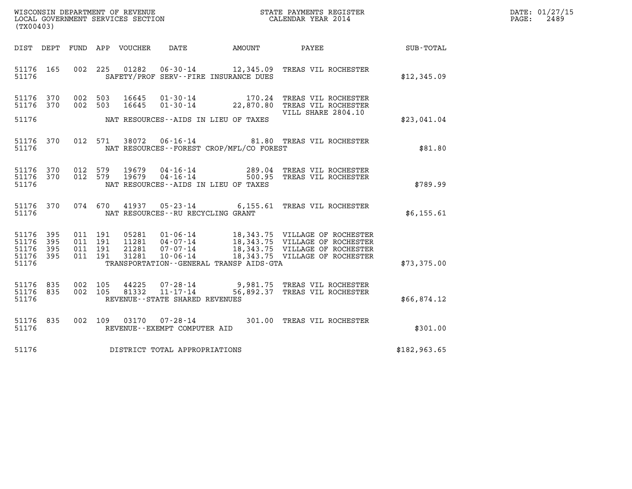| WISCONSIN DEPARTMENT OF REVENUE   | STATE PAYMENTS REGISTER | DATE: 01/27/15 |
|-----------------------------------|-------------------------|----------------|
| LOCAL GOVERNMENT SERVICES SECTION | CALENDAR YEAR 2014      | 2489<br>PAGE:  |

| (TX00403)                                 |                          |                          |                          | WISCONSIN DEPARTMENT OF REVENUE<br>LOCAL GOVERNMENT SERVICES SECTION |                                                                                                                |           | STATE PAYMENTS REGISTER<br>CALENDAR YEAR 2014                                                                                        |                  |
|-------------------------------------------|--------------------------|--------------------------|--------------------------|----------------------------------------------------------------------|----------------------------------------------------------------------------------------------------------------|-----------|--------------------------------------------------------------------------------------------------------------------------------------|------------------|
| DIST                                      | DEPT                     | FUND                     | APP                      | VOUCHER                                                              | DATE                                                                                                           | AMOUNT    | PAYEE                                                                                                                                | <b>SUB-TOTAL</b> |
| 51176<br>51176                            | 165                      | 002                      | 225                      | 01282                                                                | 06-30-14<br>SAFETY/PROF SERV--FIRE INSURANCE DUES                                                              |           | 12,345.09 TREAS VIL ROCHESTER                                                                                                        | \$12,345.09      |
| 51176<br>51176                            | 370<br>370               | 002<br>002               | 503<br>503               | 16645<br>16645                                                       | $01 - 30 - 14$<br>$01 - 30 - 14$                                                                               | 170.24    | TREAS VIL ROCHESTER<br>22,870.80 TREAS VIL ROCHESTER<br>VILL SHARE 2804.10                                                           |                  |
| 51176                                     |                          |                          |                          |                                                                      | NAT RESOURCES--AIDS IN LIEU OF TAXES                                                                           |           |                                                                                                                                      | \$23,041.04      |
| 51176<br>51176                            | 370                      | 012                      | 571                      | 38072                                                                | NAT RESOURCES - - FOREST CROP/MFL/CO FOREST                                                                    |           | 06-16-14 81.80 TREAS VIL ROCHESTER                                                                                                   | \$81.80          |
| 51176<br>51176<br>51176                   | 370<br>370               | 012<br>012               | 579<br>579               | 19679<br>19679                                                       | $04 - 16 - 14$<br>$04 - 16 - 14$ 500.95<br>NAT RESOURCES--AIDS IN LIEU OF TAXES                                |           | 289.04 TREAS VIL ROCHESTER<br>TREAS VIL ROCHESTER                                                                                    | \$789.99         |
| 51176<br>51176                            | 370                      |                          | 074 670                  |                                                                      | 41937 05-23-14 6,155.61<br>NAT RESOURCES - - RU RECYCLING GRANT                                                |           | TREAS VIL ROCHESTER                                                                                                                  | \$6,155.61       |
| 51176<br>51176<br>51176<br>51176<br>51176 | 395<br>395<br>395<br>395 | 011<br>011<br>011<br>011 | 191<br>191<br>191<br>191 | 05281<br>11281<br>21281<br>31281                                     | 01-06-14<br>$04 - 07 - 14$<br>$07 - 07 - 14$<br>$10 - 06 - 14$<br>TRANSPORTATION - - GENERAL TRANSP AIDS - GTA |           | 18,343.75 VILLAGE OF ROCHESTER<br>18,343.75 VILLAGE OF ROCHESTER<br>18,343.75 VILLAGE OF ROCHESTER<br>18,343.75 VILLAGE OF ROCHESTER | \$73,375.00      |
| 51176<br>51176<br>51176                   | 835<br>835               | 002<br>002               | 105<br>105               | 44225<br>81332                                                       | 07-28-14<br>$11 - 17 - 14$<br>REVENUE - - STATE SHARED REVENUES                                                | 56,892.37 | 9,981.75 TREAS VIL ROCHESTER<br>TREAS VIL ROCHESTER                                                                                  | \$66,874.12      |
| 51176<br>51176                            | 835                      | 002                      | 109                      | 03170                                                                | $07 - 28 - 14$<br>REVENUE--EXEMPT COMPUTER AID                                                                 |           | 301.00 TREAS VIL ROCHESTER                                                                                                           | \$301.00         |
| 51176                                     |                          |                          |                          |                                                                      | DISTRICT TOTAL APPROPRIATIONS                                                                                  |           |                                                                                                                                      | \$182,963.65     |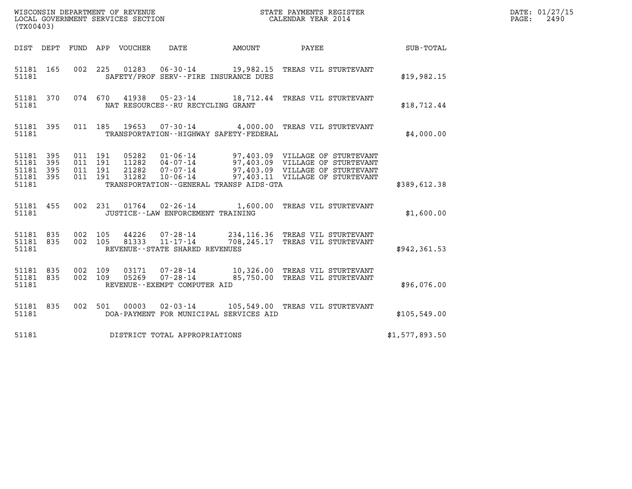| (TX00403)                                         |            |                                          | LOCAL GOVERNMENT SERVICES SECTION | WISCONSIN DEPARTMENT OF REVENUE<br>LOCAL GOVERNMENT SERVICES SECTION |                                             | STATE PAYMENTS REGISTER<br>CALENDAR YEAR 2014                                                                                                              |                | DATE: 01/27/15<br>2490<br>$\mathtt{PAGE}$ : |
|---------------------------------------------------|------------|------------------------------------------|-----------------------------------|----------------------------------------------------------------------|---------------------------------------------|------------------------------------------------------------------------------------------------------------------------------------------------------------|----------------|---------------------------------------------|
| DIST DEPT                                         |            |                                          | FUND APP VOUCHER                  | DATE                                                                 | AMOUNT                                      | PAYEE                                                                                                                                                      | SUB-TOTAL      |                                             |
| 51181 165<br>51181                                |            | 002 225                                  |                                   | 01283 06-30-14                                                       | SAFETY/PROF SERV--FIRE INSURANCE DUES       | 19,982.15 TREAS VIL STURTEVANT                                                                                                                             | \$19,982.15    |                                             |
| 51181 370<br>51181                                |            | 074 670                                  | 41938                             | 05-23-14<br>NAT RESOURCES - - RU RECYCLING GRANT                     |                                             | 18,712.44 TREAS VIL STURTEVANT                                                                                                                             | \$18,712.44    |                                             |
| 51181 395<br>51181                                |            | 011 185                                  | 19653                             | 07-30-14                                                             | TRANSPORTATION - - HIGHWAY SAFETY - FEDERAL | 4,000.00 TREAS VIL STURTEVANT                                                                                                                              | \$4,000.00     |                                             |
| 51181 395<br>51181<br>51181<br>51181 395<br>51181 | 395<br>395 | 011 191<br>011 191<br>011 191<br>011 191 | 05282<br>21282<br>31282           | $01 - 06 - 14$<br>07-07-14<br>$10 - 06 - 14$                         | TRANSPORTATION--GENERAL TRANSP AIDS-GTA     | 97,403.09 VILLAGE OF STURTEVANT<br>11282  04-07-14  97,403.09  VILLAGE OF STURTEVANT<br>97,403.09 VILLAGE OF STURTEVANT<br>97,403.11 VILLAGE OF STURTEVANT | \$389,612.38   |                                             |
| 51181 455<br>51181                                |            | 002 231                                  | 01764                             | $02 - 26 - 14$<br>JUSTICE -- LAW ENFORCEMENT TRAINING                |                                             | 1,600.00 TREAS VIL STURTEVANT                                                                                                                              | \$1,600.00     |                                             |
| 51181 835<br>51181 835<br>51181                   |            | 002 105<br>002 105                       | 44226<br>81333                    | $07 - 28 - 14$<br>$11 - 17 - 14$<br>REVENUE--STATE SHARED REVENUES   | 708,245.17                                  | 234, 116.36 TREAS VIL STURTEVANT<br>TREAS VIL STURTEVANT                                                                                                   | \$942, 361.53  |                                             |
| 51181 835<br>51181 835<br>51181                   |            | 002 109<br>002 109                       | 03171<br>05269                    | $07 - 28 - 14$<br>07-28-14<br>REVENUE - - EXEMPT COMPUTER AID        |                                             | 10,326.00 TREAS VIL STURTEVANT<br>85,750.00 TREAS VIL STURTEVANT                                                                                           | \$96,076.00    |                                             |
| 51181 835<br>51181                                |            | 002 501                                  | 00003                             | 02-03-14                                                             | DOA-PAYMENT FOR MUNICIPAL SERVICES AID      | 105,549.00 TREAS VIL STURTEVANT                                                                                                                            | \$105,549.00   |                                             |
| 51181                                             |            |                                          |                                   | DISTRICT TOTAL APPROPRIATIONS                                        |                                             |                                                                                                                                                            | \$1,577,893.50 |                                             |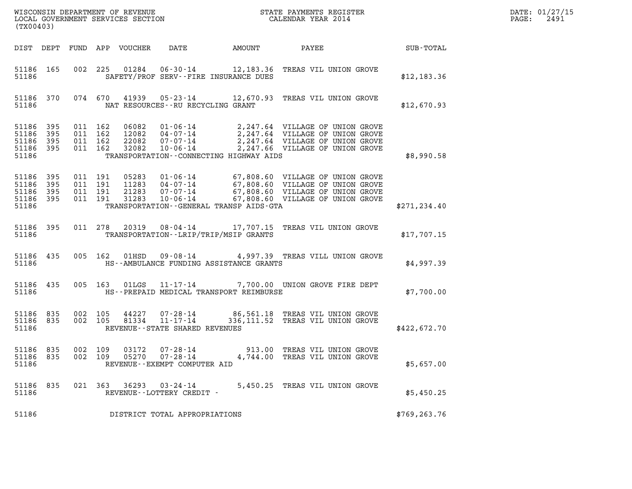| $\mathtt{DATE}$ : | 01/27/15 |
|-------------------|----------|
| PAGE:             | 2491     |

| (TX00403)                                                 |     |                    |                               |                |                                                                     |                                          |                                                                                                                                                                                                                      |               | DATE: 01/27/15<br>2491<br>$\mathtt{PAGE:}$ |
|-----------------------------------------------------------|-----|--------------------|-------------------------------|----------------|---------------------------------------------------------------------|------------------------------------------|----------------------------------------------------------------------------------------------------------------------------------------------------------------------------------------------------------------------|---------------|--------------------------------------------|
|                                                           |     |                    |                               |                |                                                                     |                                          |                                                                                                                                                                                                                      |               |                                            |
| 51186                                                     |     |                    |                               |                |                                                                     | SAFETY/PROF SERV--FIRE INSURANCE DUES    | 51186 165 002 225 01284 06-30-14 12,183.36 TREAS VIL UNION GROVE                                                                                                                                                     | \$12, 183.36  |                                            |
| 51186                                                     |     |                    |                               |                | NAT RESOURCES--RU RECYCLING GRANT                                   |                                          | 51186 370 074 670 41939 05-23-14 12,670.93 TREAS VIL UNION GROVE                                                                                                                                                     | \$12,670.93   |                                            |
| 51186 395<br>51186<br>51186 395<br>51186 395<br>51186     | 395 | 011 162            | 011 162<br>011 162<br>011 162 |                |                                                                     | TRANSPORTATION - CONNECTING HIGHWAY AIDS | 06082 01-06-14 2,247.64 VILLAGE OF UNION GROVE<br>12082 04-07-14 2,247.64 VILLAGE OF UNION GROVE<br>22082 07-07-14 2,247.64 VILLAGE OF UNION GROVE<br>32082 10-06-14 2,247.66 VILLAGE OF UNION GROVE                 | \$8,990.58    |                                            |
| 51186 395<br>51186 395<br>51186 395<br>51186 395<br>51186 |     | 011 191<br>011 191 | 011 191<br>011 191            |                |                                                                     | TRANSPORTATION--GENERAL TRANSP AIDS-GTA  | 05283  01-06-14  67,808.60  VILLAGE OF UNION GROVE<br>11283  04-07-14  67,808.60  VILLAGE OF UNION GROVE<br>21283  07-07-14  67,808.60  VILLAGE OF UNION GROVE<br>31283  10-06-14  67,808.60  VILLAGE OF UNION GROVE | \$271, 234.40 |                                            |
| 51186                                                     |     |                    |                               |                |                                                                     | TRANSPORTATION--LRIP/TRIP/MSIP GRANTS    | 51186 395 011 278 20319 08-04-14 17,707.15 TREAS VIL UNION GROVE                                                                                                                                                     | \$17,707.15   |                                            |
| 51186                                                     |     |                    |                               |                |                                                                     | HS--AMBULANCE FUNDING ASSISTANCE GRANTS  | 51186 435 005 162 01HSD 09-08-14 4,997.39 TREAS VILL UNION GROVE                                                                                                                                                     | \$4,997.39    |                                            |
| 51186                                                     |     |                    |                               |                |                                                                     | HS--PREPAID MEDICAL TRANSPORT REIMBURSE  | 51186 435 005 163 01LGS 11-17-14 7,700.00 UNION GROVE FIRE DEPT                                                                                                                                                      | \$7,700.00    |                                            |
| 51186 835<br>51186 835<br>51186                           |     |                    | 002 105                       |                | 002 105 81334 11-17-14<br>REVENUE--STATE SHARED REVENUES            |                                          | 44227 07-28-14 86,561.18 TREAS VIL UNION GROVE<br>336,111.52 TREAS VIL UNION GROVE                                                                                                                                   | \$422,672.70  |                                            |
| 51186 835<br>51186 835<br>51186                           |     | 002 109            | 002 109                       | 03172<br>05270 | $07 - 28 - 14$<br>$07 - 28 - 14$<br>REVENUE - - EXEMPT COMPUTER AID |                                          | 913.00 TREAS VIL UNION GROVE<br>4,744.00 TREAS VIL UNION GROVE                                                                                                                                                       | \$5,657.00    |                                            |
| 51186 835<br>51186                                        |     |                    |                               | 021 363 36293  | 03-24-14<br>REVENUE--LOTTERY CREDIT -                               |                                          | 5,450.25 TREAS VIL UNION GROVE                                                                                                                                                                                       | \$5,450.25    |                                            |
| 51186                                                     |     |                    |                               |                | DISTRICT TOTAL APPROPRIATIONS                                       |                                          |                                                                                                                                                                                                                      | \$769, 263.76 |                                            |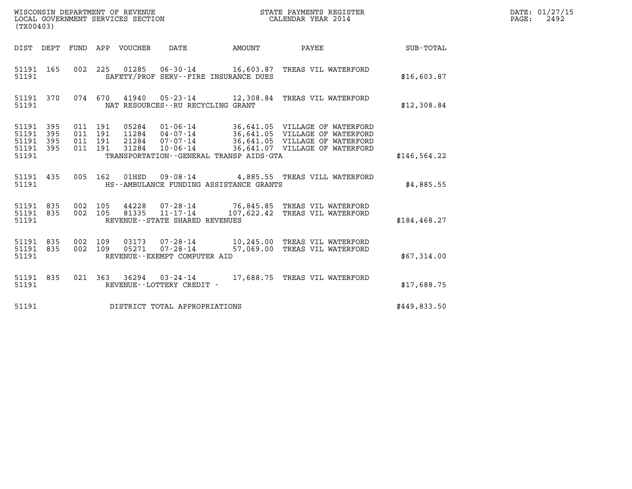| (TX00403)                                         |            |                                      |     |                            | WISCONSIN DEPARTMENT OF REVENUE<br>LOCAL GOVERNMENT SERVICES SECTION            |        | STATE PAYMENTS REGISTER<br>CALENDAR YEAR 2014                                                                                                                   |                  | DATE: 01/27/15<br>$\mathtt{PAGE:}$<br>2492 |
|---------------------------------------------------|------------|--------------------------------------|-----|----------------------------|---------------------------------------------------------------------------------|--------|-----------------------------------------------------------------------------------------------------------------------------------------------------------------|------------------|--------------------------------------------|
|                                                   |            |                                      |     | DIST DEPT FUND APP VOUCHER | DATE                                                                            | AMOUNT | PAYEE                                                                                                                                                           | <b>SUB-TOTAL</b> |                                            |
| 51191 165<br>51191                                |            |                                      |     |                            | SAFETY/PROF SERV--FIRE INSURANCE DUES                                           |        | 002 225 01285 06-30-14 16,603.87 TREAS VIL WATERFORD                                                                                                            | \$16,603.87      |                                            |
| 51191 370<br>51191                                |            |                                      |     |                            | NAT RESOURCES - - RU RECYCLING GRANT                                            |        | 074 670 41940 05-23-14 12,308.84 TREAS VIL WATERFORD                                                                                                            | \$12,308.84      |                                            |
| 51191 395<br>51191<br>51191<br>51191 395<br>51191 | 395<br>395 | 011 191<br>011<br>011 191<br>011 191 | 191 | 31284                      | $11284$ $04-07-14$<br>21284 07-07-14<br>TRANSPORTATION--GENERAL TRANSP AIDS-GTA |        | 05284  01-06-14  36,641.05  VILLAGE OF WATERFORD<br>36,641.05 VILLAGE OF WATERFORD<br>36,641.05 VILLAGE OF WATERFORD<br>10-06-14 36,641.07 VILLAGE OF WATERFORD | \$146, 564.22    |                                            |
| 51191 435<br>51191                                |            | 005 162                              |     |                            | HS--AMBULANCE FUNDING ASSISTANCE GRANTS                                         |        | 01HSD  09-08-14  4,885.55  TREAS VILL WATERFORD                                                                                                                 | \$4,885.55       |                                            |
| 51191 835<br>51191 835<br>51191                   |            | 002 105<br>002 105                   |     | 44228<br>81335             | 07-28-14<br>11-17-14<br>REVENUE--STATE SHARED REVENUES                          |        | 76,845.85 TREAS VIL WATERFORD<br>107,622.42 TREAS VIL WATERFORD                                                                                                 | \$184, 468.27    |                                            |
| 51191 835<br>51191 835<br>51191                   |            | 002 109<br>002 109                   |     | 05271                      | $07 - 28 - 14$<br>REVENUE--EXEMPT COMPUTER AID                                  |        | 03173  07-28-14  10.245.00 TREAS VIL WATERFORD<br>57,069.00 TREAS VIL WATERFORD                                                                                 | \$67,314.00      |                                            |
| 51191 835<br>51191                                |            |                                      |     |                            | REVENUE--LOTTERY CREDIT -                                                       |        | 021  363  36294  03-24-14  17,688.75  TREAS VIL WATERFORD                                                                                                       | \$17,688.75      |                                            |
| 51191                                             |            |                                      |     |                            | DISTRICT TOTAL APPROPRIATIONS                                                   |        |                                                                                                                                                                 | \$449,833.50     |                                            |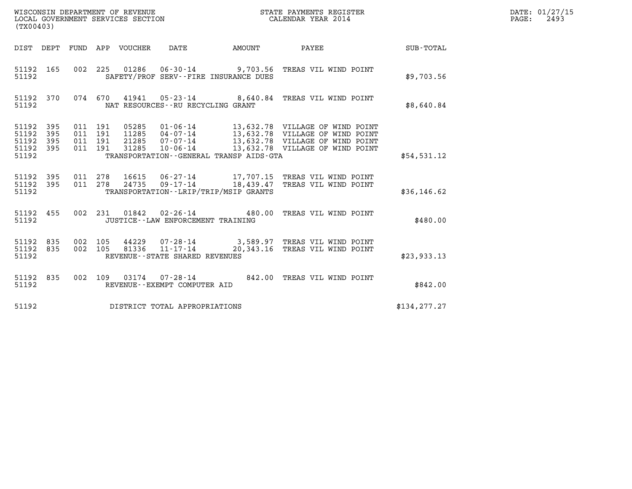| (TX00403)                                         |            |                               |         |                                 | WISCONSIN DEPARTMENT OF REVENUE<br>LOCAL GOVERNMENT SERVICES SECTION |                                         | STATE PAYMENTS REGISTER<br>CALENDAR YEAR 2014                                                      |               | DATE: 01/27/15<br>2493<br>$\mathtt{PAGE:}$ |
|---------------------------------------------------|------------|-------------------------------|---------|---------------------------------|----------------------------------------------------------------------|-----------------------------------------|----------------------------------------------------------------------------------------------------|---------------|--------------------------------------------|
|                                                   |            |                               |         | DIST DEPT FUND APP VOUCHER DATE |                                                                      | <b>EXAMPLE THE PROPERTY OF A STATE</b>  | PAYEE                                                                                              | SUB-TOTAL     |                                            |
| 51192                                             | 51192 165  |                               |         |                                 |                                                                      | SAFETY/PROF SERV--FIRE INSURANCE DUES   | 002 225 01286 06-30-14 9,703.56 TREAS VIL WIND POINT                                               | \$9,703.56    |                                            |
| 51192                                             | 51192 370  |                               |         |                                 | NAT RESOURCES--RU RECYCLING GRANT                                    |                                         | 074 670 41941 05-23-14 8,640.84 TREAS VIL WIND POINT                                               | \$8,640.84    |                                            |
| 51192 395<br>51192<br>51192<br>51192 395<br>51192 | 395<br>395 | 011 191<br>011 191<br>011 191 | 011 191 |                                 |                                                                      | TRANSPORTATION--GENERAL TRANSP AIDS-GTA | 05285  01-06-14  13,632.78  VILLAGE OF WIND POINT                                                  | \$54,531.12   |                                            |
| 51192 395<br>51192 395<br>51192                   |            | 011 278<br>011 278            |         |                                 |                                                                      | TRANSPORTATION--LRIP/TRIP/MSIP GRANTS   | 16615  06-27-14   17,707.15  TREAS VIL WIND POINT<br>24735 09-17-14 18,439.47 TREAS VIL WIND POINT | \$36, 146.62  |                                            |
| 51192                                             | 51192 455  |                               |         |                                 | JUSTICE - - LAW ENFORCEMENT TRAINING                                 |                                         | 002 231 01842 02-26-14 480.00 TREAS VIL WIND POINT                                                 | \$480.00      |                                            |
| 51192 835<br>51192 835<br>51192                   |            | 002 105<br>002 105            |         | 44229<br>81336                  | 11-17-14<br>REVENUE - - STATE SHARED REVENUES                        | 20,343.16                               | 07-28-14 3,589.97 TREAS VIL WIND POINT<br>TREAS VIL WIND POINT                                     | \$23,933.13   |                                            |
| 51192                                             | 51192 835  |                               |         |                                 | REVENUE--EXEMPT COMPUTER AID                                         |                                         | 002 109 03174 07-28-14 842.00 TREAS VIL WIND POINT                                                 | \$842.00      |                                            |
| 51192                                             |            |                               |         |                                 | DISTRICT TOTAL APPROPRIATIONS                                        |                                         |                                                                                                    | \$134, 277.27 |                                            |

WISCONSIN DEPARTMENT OF REVENUE<br>LOCAL GOVERNMENT SERVICES SECTION STATE PAYMENTS REGISTER SECONDER STATE PASS: 2493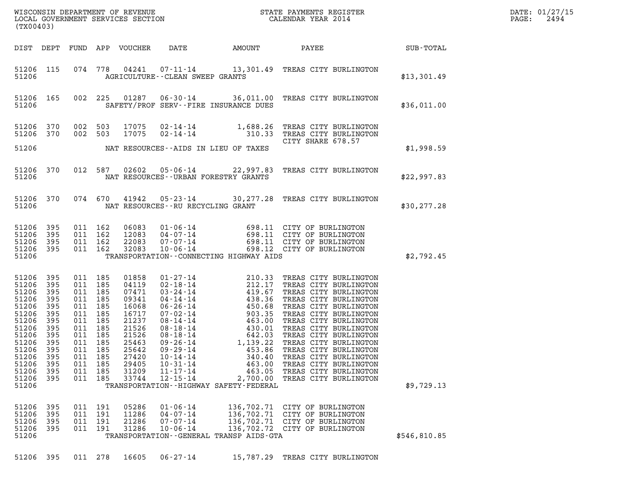|  |  |  |  |  | 51206 395 011 278 16605 06-27-14 | 15,787.29 TREAS CITY BURLINGTON |  |  |  |
|--|--|--|--|--|----------------------------------|---------------------------------|--|--|--|
|--|--|--|--|--|----------------------------------|---------------------------------|--|--|--|

| DIST                                                                                                                                         | DEPT                                                                                                  | FUND                                                                                                  | APP                                                                                                   | <b>VOUCHER</b>                                                                                                                      | DATE                                                                                                                                                                                                                                               | AMOUNT                                                                                          | PAYEE                                                                                                                                                                                                                                       | SUB-TOTAL    |
|----------------------------------------------------------------------------------------------------------------------------------------------|-------------------------------------------------------------------------------------------------------|-------------------------------------------------------------------------------------------------------|-------------------------------------------------------------------------------------------------------|-------------------------------------------------------------------------------------------------------------------------------------|----------------------------------------------------------------------------------------------------------------------------------------------------------------------------------------------------------------------------------------------------|-------------------------------------------------------------------------------------------------|---------------------------------------------------------------------------------------------------------------------------------------------------------------------------------------------------------------------------------------------|--------------|
| 51206<br>51206                                                                                                                               | 115                                                                                                   | 074                                                                                                   | 778                                                                                                   | 04241                                                                                                                               | AGRICULTURE - - CLEAN SWEEP GRANTS                                                                                                                                                                                                                 |                                                                                                 |                                                                                                                                                                                                                                             | \$13,301.49  |
| 51206<br>51206                                                                                                                               | 165                                                                                                   | 002                                                                                                   | 225                                                                                                   | 01287                                                                                                                               |                                                                                                                                                                                                                                                    | SAFETY/PROF SERV--FIRE INSURANCE DUES                                                           | 06-30-14 36,011.00 TREAS CITY BURLINGTON                                                                                                                                                                                                    | \$36,011.00  |
| 51206<br>51206<br>51206                                                                                                                      | 370<br>370                                                                                            | 002<br>002                                                                                            | 503<br>503                                                                                            | 17075<br>17075                                                                                                                      |                                                                                                                                                                                                                                                    | $02 - 14 - 14$<br>$02 - 14 - 14$<br>$310.33$<br>NAT RESOURCES--AIDS IN LIEU OF TAXES            | TREAS CITY BURLINGTON<br>TREAS CITY BURLINGTON<br>CITY SHARE 678.57                                                                                                                                                                         | \$1,998.59   |
| 51206<br>51206                                                                                                                               | 370                                                                                                   | 012                                                                                                   | 587                                                                                                   | 02602                                                                                                                               |                                                                                                                                                                                                                                                    | $05 - 06 - 14$ 22,997.83<br>NAT RESOURCES--URBAN FORESTRY GRANTS                                | TREAS CITY BURLINGTON                                                                                                                                                                                                                       | \$22,997.83  |
| 51206<br>51206                                                                                                                               | 370                                                                                                   | 074 670                                                                                               |                                                                                                       | 41942                                                                                                                               | NAT RESOURCES -- RU RECYCLING GRANT                                                                                                                                                                                                                |                                                                                                 | 05-23-14 30,277.28 TREAS CITY BURLINGTON                                                                                                                                                                                                    | \$30, 277.28 |
| 51206<br>51206<br>51206<br>51206<br>51206                                                                                                    | 395<br>395<br>395<br>395                                                                              | 011<br>011<br>011<br>011                                                                              | 162<br>162<br>162<br>162                                                                              | 06083<br>12083<br>22083<br>32083                                                                                                    |                                                                                                                                                                                                                                                    | TRANSPORTATION - - CONNECTING HIGHWAY AIDS                                                      | 01-06-14 698.11 CITY OF BURLINGTON<br>04-07-14 698.11 CITY OF BURLINGTON<br>07-07-14 698.11 CITY OF BURLINGTON<br>10-06-14 698.12 CITY OF BURLINGTON                                                                                        | \$2,792.45   |
| 51206<br>51206<br>51206<br>51206<br>51206<br>51206<br>51206<br>51206<br>51206<br>51206<br>51206<br>51206<br>51206<br>51206<br>51206<br>51206 | 395<br>395<br>395<br>395<br>395<br>395<br>395<br>395<br>395<br>395<br>395<br>395<br>395<br>395<br>395 | 011<br>011<br>011<br>011<br>011<br>011<br>011<br>011<br>011<br>011<br>011<br>011<br>011<br>011<br>011 | 185<br>185<br>185<br>185<br>185<br>185<br>185<br>185<br>185<br>185<br>185<br>185<br>185<br>185<br>185 | 01858<br>04119<br>07471<br>09341<br>16068<br>16717<br>21237<br>21526<br>21526<br>25463<br>25642<br>27420<br>29405<br>31209<br>33744 | $01 - 27 - 14$<br>$02 - 18 - 14$<br>$03 - 24 - 14$<br>$04 - 14 - 14$<br>$06 - 26 - 14$<br>$07 - 02 - 14$<br>$08 - 14 - 14$<br>$08 - 18 - 14$<br>$08 - 18 - 14$<br>09-26-14<br>09-29-14<br>10-14-14<br>$10 - 31 - 14$<br>11-17-14<br>$12 - 15 - 14$ | TRANSPORTATION - - HIGHWAY SAFETY - FEDERAL                                                     | 210.33 TREAS CITY BURLINGTON<br>212.17 TREAS CITY BURLINGTON<br>419.67 TREAS CITY BURLINGTON<br>438.36 TREAS CITY BURLINGTON<br>450.68 TREAS CITY BURLINGTON<br>903.35 TREAS CITY BURLINGTON<br>463.00 TREAS CITY BURLINGTON<br>430.01 TREA | \$9,729.13   |
| 51206<br>51206<br>51206<br>51206<br>51206                                                                                                    | 395<br>395<br>395<br>395                                                                              | 011<br>011<br>011<br>011                                                                              | 191<br>191<br>191<br>191                                                                              | 05286<br>11286<br>21286<br>31286                                                                                                    | $01 - 06 - 14$<br>$04 - 07 - 14$<br>$07 - 07 - 14$<br>$10 - 06 - 14$                                                                                                                                                                               | 136,702.71<br>136,702.71<br>136,702.71<br>136,702.72<br>TRANSPORTATION--GENERAL TRANSP AIDS-GTA | CITY OF BURLINGTON<br>CITY OF BURLINGTON<br>CITY OF BURLINGTON<br>CITY OF BURLINGTON                                                                                                                                                        | \$546,810.85 |
| 51206                                                                                                                                        | 395                                                                                                   | 011 278                                                                                               |                                                                                                       | 16605                                                                                                                               | $06 - 27 - 14$                                                                                                                                                                                                                                     | 15,787.29                                                                                       | TREAS CITY BURLINGTON                                                                                                                                                                                                                       |              |

DIST DEPT FUND APP VOUCHER DATE AMOUNT PAYEE SUB-TOTAL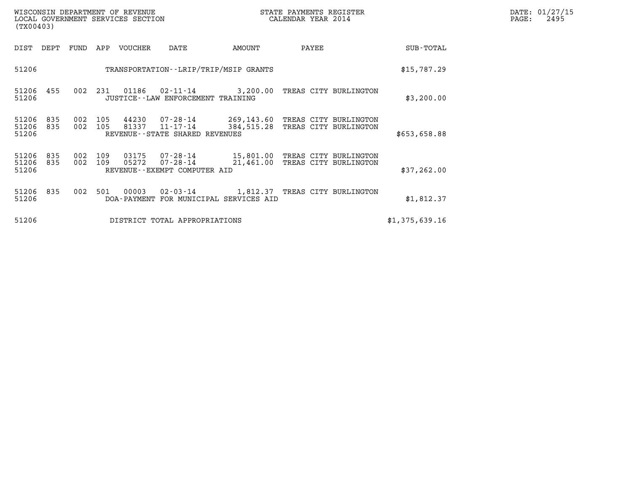| DATE: | 01/27/15 |
|-------|----------|
| PAGE: | 2495     |

| WISCONSIN DEPARTMENT OF REVENUE<br>(TX00403)        | LOCAL GOVERNMENT SERVICES SECTION                                                            | STATE PAYMENTS REGISTER<br>CALENDAR YEAR 2014                                  |                | DATE: 01/27/15<br>$\mathtt{PAGE:}$<br>2495 |
|-----------------------------------------------------|----------------------------------------------------------------------------------------------|--------------------------------------------------------------------------------|----------------|--------------------------------------------|
| FUND<br>DIST<br>DEPT                                | APP<br>VOUCHER<br>DATE                                                                       | PAYEE<br>AMOUNT                                                                | SUB-TOTAL      |                                            |
| 51206                                               | TRANSPORTATION - - LRIP/TRIP/MSIP GRANTS                                                     |                                                                                | \$15,787.29    |                                            |
| 51206 455<br>002<br>51206                           | 231<br>01186<br>JUSTICE - - LAW ENFORCEMENT TRAINING                                         | 02-11-14 3,200.00 TREAS CITY BURLINGTON                                        | \$3,200.00     |                                            |
| 51206<br>835<br>002<br>835<br>002<br>51206<br>51206 | 105<br>44230<br>07-28-14<br>81337<br>105<br>$11 - 17 - 14$<br>REVENUE--STATE SHARED REVENUES | 269,143.60 TREAS CITY BURLINGTON<br>384,515.28<br>TREAS CITY BURLINGTON        | \$653,658.88   |                                            |
| 51206<br>835<br>002<br>51206<br>835<br>002<br>51206 | 03175<br>109<br>109<br>05272<br>$07 - 28 - 14$<br>REVENUE - - EXEMPT COMPUTER AID            | 07-28-14 15,801.00 TREAS CITY BURLINGTON<br>TREAS CITY BURLINGTON<br>21,461.00 | \$37,262.00    |                                            |
| 51206<br>835<br>002<br>51206                        | 501<br>00003<br>DOA-PAYMENT FOR MUNICIPAL SERVICES AID                                       | 02-03-14 1,812.37 TREAS CITY BURLINGTON                                        | \$1,812.37     |                                            |
| 51206                                               | DISTRICT TOTAL APPROPRIATIONS                                                                |                                                                                | \$1,375,639.16 |                                            |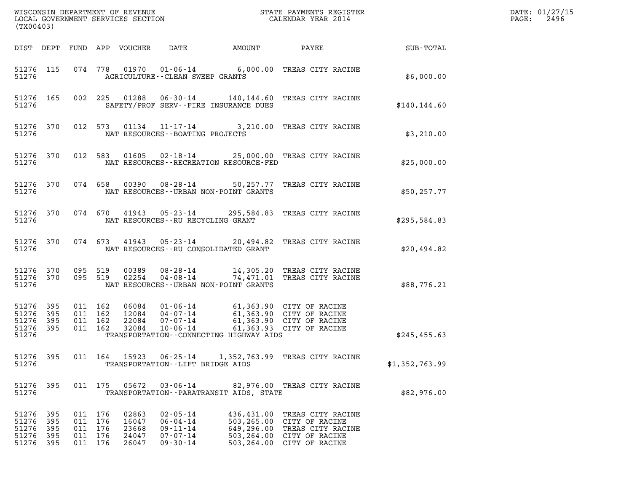| (TX00403)                                     |                          |     |                                                 |                                           |                                                                                        |                                                                                                                                        |                                                                                                                                                     |                | DATE: 01/27/15<br>2496<br>$\mathtt{PAGE}$ : |
|-----------------------------------------------|--------------------------|-----|-------------------------------------------------|-------------------------------------------|----------------------------------------------------------------------------------------|----------------------------------------------------------------------------------------------------------------------------------------|-----------------------------------------------------------------------------------------------------------------------------------------------------|----------------|---------------------------------------------|
|                                               | DIST DEPT                |     |                                                 | FUND APP VOUCHER                          | DATE                                                                                   | AMOUNT                                                                                                                                 | PAYEE                                                                                                                                               | SUB-TOTAL      |                                             |
| 51276                                         | 51276 115                |     |                                                 |                                           |                                                                                        | AGRICULTURE -- CLEAN SWEEP GRANTS                                                                                                      | 074 778 01970 01-06-14 6,000.00 TREAS CITY RACINE                                                                                                   | \$6,000.00     |                                             |
| 51276                                         | 51276 165                |     | 002 225                                         |                                           |                                                                                        | SAFETY/PROF SERV--FIRE INSURANCE DUES                                                                                                  | 01288  06-30-14  140,144.60 TREAS CITY RACINE                                                                                                       | \$140.144.60   |                                             |
| 51276                                         | 51276 370                |     |                                                 |                                           |                                                                                        | NAT RESOURCES - - BOATING PROJECTS                                                                                                     | 012 573 01134 11-17-14 3,210.00 TREAS CITY RACINE                                                                                                   | \$3,210.00     |                                             |
| 51276                                         | 51276 370                |     | 012 583                                         |                                           |                                                                                        | NAT RESOURCES - - RECREATION RESOURCE - FED                                                                                            | 01605  02-18-14  25,000.00  TREAS CITY RACINE                                                                                                       | \$25,000.00    |                                             |
| 51276                                         | 51276 370                |     | 074 658                                         |                                           |                                                                                        | NAT RESOURCES - - URBAN NON-POINT GRANTS                                                                                               | 00390 08-28-14 50,257.77 TREAS CITY RACINE                                                                                                          | \$50, 257.77   |                                             |
| 51276                                         | 51276 370                |     | 074 670                                         |                                           | 41943 05-23-14                                                                         | NAT RESOURCES--RU RECYCLING GRANT                                                                                                      | 295,584.83 TREAS CITY RACINE                                                                                                                        | \$295,584.83   |                                             |
| 51276                                         | 51276 370                |     | 074 673                                         |                                           | 41943 05-23-14                                                                         | NAT RESOURCES - - RU CONSOLIDATED GRANT                                                                                                | 20,494.82 TREAS CITY RACINE                                                                                                                         | \$20,494.82    |                                             |
| 51276                                         | 51276 370<br>51276 370   |     | 095 519<br>095 519                              | 00389<br>02254                            |                                                                                        | NAT RESOURCES - - URBAN NON-POINT GRANTS                                                                                               | 08-28-14 14,305.20 TREAS CITY RACINE<br>04-08-14 74,471.01 TREAS CITY RACINE                                                                        | \$88,776.21    |                                             |
| 51276<br>51276<br>51276                       | 395<br>395<br>395        |     | 011 162<br>011 162<br>011 162                   |                                           |                                                                                        | 06084  01-06-14  61,363.90  CITY OF RACINE<br>12084  04-07-14  61,363.90  CITY OF RACINE<br>22084  07-07-14  61,363.90  CITY OF RACINE |                                                                                                                                                     |                |                                             |
| 51276<br>51276                                | 395                      |     | 011 162                                         | 32084                                     | $10 - 06 - 14$                                                                         | TRANSPORTATION--CONNECTING HIGHWAY AIDS                                                                                                | 61,363.93 CITY OF RACINE                                                                                                                            | \$245,455.63   |                                             |
| 51276 395<br>51276                            |                          |     |                                                 | 011 164 15923                             | $06 - 25 - 14$                                                                         | TRANSPORTATION -- LIFT BRIDGE AIDS                                                                                                     | 1,352,763.99 TREAS CITY RACINE                                                                                                                      | \$1,352,763.99 |                                             |
| 51276 395<br>51276                            |                          |     | 011 175                                         | 05672                                     | $03 - 06 - 14$                                                                         | TRANSPORTATION - - PARATRANSIT AIDS, STATE                                                                                             | 82,976.00 TREAS CITY RACINE                                                                                                                         | \$82,976.00    |                                             |
| 51276 395<br>51276<br>51276<br>51276<br>51276 | 395<br>395<br>395<br>395 | 011 | 011 176<br>176<br>011 176<br>011 176<br>011 176 | 02863<br>16047<br>23668<br>24047<br>26047 | $02 - 05 - 14$<br>$06 - 04 - 14$<br>$09 - 11 - 14$<br>$07 - 07 - 14$<br>$09 - 30 - 14$ |                                                                                                                                        | 436,431.00 TREAS CITY RACINE<br>503,265.00 CITY OF RACINE<br>649,296.00 TREAS CITY RACINE<br>503,264.00 CITY OF RACINE<br>503,264.00 CITY OF RACINE |                |                                             |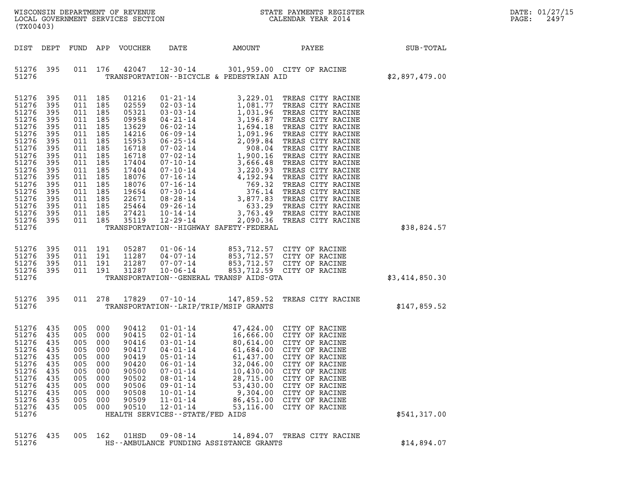| WISCONSIN DEPARTMENT OF REVENUE<br>LOCAL GOVERNMENT SERVICES SECTION<br>(TX00403)                                                                                       |                                                                                                                            |                                                                                                                                                                                                    |                                                             |                                                                                                                                                                |                                                                                                                                                                                                                                                         | NC                                                                                                                                                                                                                                                                                                                                                                                                      | STATE PAYMENTS REGISTER<br>CALENDAR YEAR 2014                                                                                                                                                                                                                                                                                                                                                                     | DATE: 01/27/15<br>PAGE:<br>2497 |  |  |
|-------------------------------------------------------------------------------------------------------------------------------------------------------------------------|----------------------------------------------------------------------------------------------------------------------------|----------------------------------------------------------------------------------------------------------------------------------------------------------------------------------------------------|-------------------------------------------------------------|----------------------------------------------------------------------------------------------------------------------------------------------------------------|---------------------------------------------------------------------------------------------------------------------------------------------------------------------------------------------------------------------------------------------------------|---------------------------------------------------------------------------------------------------------------------------------------------------------------------------------------------------------------------------------------------------------------------------------------------------------------------------------------------------------------------------------------------------------|-------------------------------------------------------------------------------------------------------------------------------------------------------------------------------------------------------------------------------------------------------------------------------------------------------------------------------------------------------------------------------------------------------------------|---------------------------------|--|--|
| DIST DEPT                                                                                                                                                               |                                                                                                                            |                                                                                                                                                                                                    |                                                             | FUND APP VOUCHER                                                                                                                                               | DATE                                                                                                                                                                                                                                                    | AMOUNT                                                                                                                                                                                                                                                                                                                                                                                                  | PAYEE                                                                                                                                                                                                                                                                                                                                                                                                             | SUB-TOTAL                       |  |  |
| 51276 395<br>51276                                                                                                                                                      |                                                                                                                            |                                                                                                                                                                                                    |                                                             |                                                                                                                                                                | 011 176 42047 12-30-14                                                                                                                                                                                                                                  | TRANSPORTATION--BICYCLE & PEDESTRIAN AID                                                                                                                                                                                                                                                                                                                                                                | 301,959.00 CITY OF RACINE                                                                                                                                                                                                                                                                                                                                                                                         | \$2,897,479.00                  |  |  |
| 51276<br>51276<br>51276<br>51276<br>51276<br>51276<br>51276<br>51276<br>51276<br>51276<br>51276<br>51276<br>51276<br>51276<br>51276<br>51276<br>51276<br>51276<br>51276 | 395<br>395<br>395<br>395<br>395<br>395<br>395<br>395<br>395<br>395<br>395<br>395<br>395<br>395<br>395<br>395<br>395<br>395 | 011 185<br>011 185<br>011 185<br>011 185<br>011 185<br>011 185<br>011 185<br>011 185<br>011 185<br>011 185<br>011 185<br>011 185<br>011 185<br>011 185<br>011 185<br>011 185<br>011 185<br>011 185 |                                                             | 01216<br>02559<br>05321<br>09958<br>13629<br>14216<br>15953<br>16718<br>16718<br>17404<br>17404<br>18076<br>18076<br>19654<br>22671<br>25464<br>27421<br>35119 | $01 - 21 - 14$<br>02-03-14<br>03-03-14<br>04-21-14<br>09-26-14<br>10-14-14<br>12-29-14                                                                                                                                                                  | 1,081.77<br>1,031.96<br>1,031.96<br>3,196.87<br>1,004.19<br>$04 - 21 - 14$<br>$06 - 09 - 14$<br>$07 - 02 - 14$<br>$07 - 02 - 14$<br>$07 - 10 - 14$<br>$07 - 16 - 14$<br>$07 - 16 - 14$<br>$07 - 16 - 14$<br>$07 - 16 - 14$<br>$07 - 16 - 14$<br>$07 - 16 - 14$<br>$07 - 16 - 14$<br>$07 - 16 - 14$<br>$08 - 28 - 14$<br>$09 - 26 - 14$<br>$09 - 26 - 14$<br>TRANSPORTATION - - HIGHWAY SAFETY - FEDERAL | 3,229.01 TREAS CITY RACINE<br>TREAS CITY RACINE<br>TREAS CITY RACINE<br>TREAS CITY RACINE<br>TREAS CITY RACINE<br>TREAS CITY RACINE<br>TREAS CITY RACINE<br>TREAS CITY RACINE<br>TREAS CITY RACINE<br>TREAS CITY RACINE<br>TREAS CITY RACINE<br>TREAS CITY RACINE<br>TREAS CITY RACINE<br>TREAS CITY RACINE<br>TREAS CITY RACINE<br>TREAS CITY RACINE<br>3,763.49 TREAS CITY RACINE<br>2,090.36 TREAS CITY RACINE | \$38,824.57                     |  |  |
| 51276<br>51276<br>51276<br>51276<br>51276                                                                                                                               | 395<br>395<br>395<br>395                                                                                                   | 011 191<br>011 191<br>011 191                                                                                                                                                                      | 011 191                                                     | 05287<br>11287<br>21287<br>31287                                                                                                                               | 01-06-14<br>04-07-14<br>07-07-14<br>$10 - 06 - 14$                                                                                                                                                                                                      | 853,712.57 CITY OF RACINE<br>853,712.57 CITY OF TIL<br>TRANSPORTATION--GENERAL TRANSP AIDS-GTA                                                                                                                                                                                                                                                                                                          | 853,712.57 CITY OF RACINE<br>853,712.59 CITY OF RACINE                                                                                                                                                                                                                                                                                                                                                            | \$3,414,850.30                  |  |  |
| 51276 395<br>51276                                                                                                                                                      |                                                                                                                            | 011 278                                                                                                                                                                                            |                                                             | 17829                                                                                                                                                          | 07-10-14                                                                                                                                                                                                                                                | TRANSPORTATION - - LRIP/TRIP/MSIP GRANTS                                                                                                                                                                                                                                                                                                                                                                | 147,859.52 TREAS CITY RACINE                                                                                                                                                                                                                                                                                                                                                                                      | \$147,859.52                    |  |  |
| 51276 435<br>51276<br>51276<br>51276<br>51276<br>51276<br>51276<br>51276<br>51276<br>51276<br>51276<br>51276<br>51276                                                   | 435<br>435<br>435<br>435<br>435<br>435<br>435<br>435<br>435<br>435<br>435                                                  | 005 000<br>005 000<br>005 000<br>005<br>005<br>005<br>005<br>005<br>005<br>005<br>005<br>005                                                                                                       | 000<br>000<br>000<br>000<br>000<br>000<br>000<br>000<br>000 | 90412<br>90415<br>90416<br>90417<br>90419<br>90420<br>90500<br>90502<br>90506<br>90508<br>90509<br>90510                                                       | $01 - 01 - 14$<br>$02 - 01 - 14$<br>$03 - 01 - 14$<br>$04 - 01 - 14$<br>$05 - 01 - 14$<br>$06 - 01 - 14$<br>$07 - 01 - 14$<br>$08 - 01 - 14$<br>$09 - 01 - 14$<br>$10 - 01 - 14$<br>$11 - 01 - 14$<br>$12 - 01 - 14$<br>HEALTH SERVICES--STATE/FED AIDS | 80,614.00<br>61,684.00<br>61,437.00<br>32,046.00<br>10,430.00<br>28,715.00<br>53,430.00<br>9,304.00<br>86,451.00<br>53,116.00                                                                                                                                                                                                                                                                           | 47,424.00 CITY OF RACINE<br>16,666.00 CITY OF RACINE<br>CITY OF RACINE<br>CITY OF RACINE<br>CITY OF RACINE<br>CITY OF RACINE<br>CITY OF RACINE<br>CITY OF RACINE<br>CITY OF RACINE<br>CITY OF RACINE<br>CITY OF RACINE<br>CITY OF RACINE                                                                                                                                                                          | \$541,317.00                    |  |  |
| 51276<br>51276                                                                                                                                                          | 435                                                                                                                        | 005                                                                                                                                                                                                | 162                                                         | 01HSD                                                                                                                                                          | $09 - 08 - 14$                                                                                                                                                                                                                                          | 14,894.07<br>HS--AMBULANCE FUNDING ASSISTANCE GRANTS                                                                                                                                                                                                                                                                                                                                                    | TREAS CITY RACINE                                                                                                                                                                                                                                                                                                                                                                                                 | \$14,894.07                     |  |  |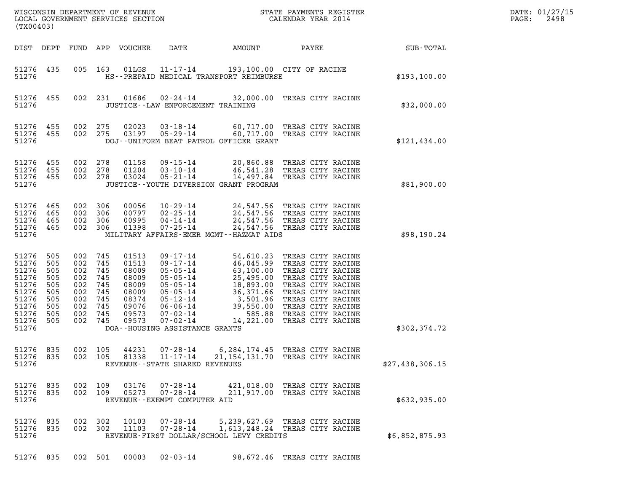| $\texttt{DATE}$ : | 01/27/15 |
|-------------------|----------|
| PAGE:             | 2498     |

| LOCAL GOVERNMENT SERVICES SECTION<br>(TX00403)                                                  |                                                                    |                                                                        |                                                             |                                                                                        |                                                                                                                                                                                                  |                                                  |                                                                                                                                                                                                                                                                        |                 | DATE: 01/27/15<br>2498<br>PAGE: |
|-------------------------------------------------------------------------------------------------|--------------------------------------------------------------------|------------------------------------------------------------------------|-------------------------------------------------------------|----------------------------------------------------------------------------------------|--------------------------------------------------------------------------------------------------------------------------------------------------------------------------------------------------|--------------------------------------------------|------------------------------------------------------------------------------------------------------------------------------------------------------------------------------------------------------------------------------------------------------------------------|-----------------|---------------------------------|
| DIST DEPT                                                                                       |                                                                    | FUND                                                                   |                                                             | APP VOUCHER                                                                            | DATE                                                                                                                                                                                             | AMOUNT                                           | PAYEE                                                                                                                                                                                                                                                                  | SUB-TOTAL       |                                 |
| 51276 435<br>51276                                                                              |                                                                    |                                                                        | 005 163                                                     | 01LGS                                                                                  | $11 - 17 - 14$                                                                                                                                                                                   | HS--PREPAID MEDICAL TRANSPORT REIMBURSE          | 193,100.00 CITY OF RACINE                                                                                                                                                                                                                                              | \$193,100.00    |                                 |
| 51276 455<br>51276                                                                              |                                                                    |                                                                        | 002 231                                                     |                                                                                        |                                                                                                                                                                                                  | JUSTICE - - LAW ENFORCEMENT TRAINING             | 01686  02-24-14  32,000.00  TREAS CITY RACINE                                                                                                                                                                                                                          | \$32,000.00     |                                 |
| 51276 455<br>51276 455<br>51276                                                                 |                                                                    | 002 275<br>002 275                                                     |                                                             | 02023<br>03197                                                                         | 03-18-14                                                                                                                                                                                         | DOJ--UNIFORM BEAT PATROL OFFICER GRANT           | 60,717.00 TREAS CITY RACINE<br>05-29-14 60,717.00 TREAS CITY RACINE                                                                                                                                                                                                    | \$121,434.00    |                                 |
| 51276<br>51276 455<br>51276 455<br>51276                                                        | 455                                                                | 002<br>002 278<br>002 278                                              | 278                                                         | 01158<br>01204<br>03024                                                                | $09 - 15 - 14$<br>$03 - 10 - 14$<br>$05 - 21 - 14$                                                                                                                                               | JUSTICE -- YOUTH DIVERSION GRANT PROGRAM         | 20,860.88 TREAS CITY RACINE<br>46,541.28 TREAS CITY RACINE<br>14,497.84 TREAS CITY RACINE                                                                                                                                                                              | \$81,900.00     |                                 |
| 51276 465<br>51276<br>51276 465<br>51276 465<br>51276                                           | 465                                                                | 002 306<br>002 306<br>002                                              | 306<br>002 306                                              | 00056<br>00797<br>00995<br>01398                                                       | 10-29-14<br>$02 - 25 - 14$<br>$04 - 14 - 14$<br>$07 - 25 - 14$                                                                                                                                   | MILITARY AFFAIRS-EMER MGMT--HAZMAT AIDS          | 24,547.56 TREAS CITY RACINE<br>24,547.56 TREAS CITY RACINE<br>24,547.56 TREAS CITY RACINE<br>24,547.56 TREAS CITY RACINE                                                                                                                                               | \$98,190.24     |                                 |
| 51276<br>51276<br>51276<br>51276<br>51276<br>51276<br>51276<br>51276<br>51276<br>51276<br>51276 | 505<br>505<br>505<br>505<br>505<br>505<br>505<br>505<br>505<br>505 | 002<br>002<br>002<br>002<br>002<br>002<br>002<br>002<br>002<br>002 745 | 745<br>745<br>745<br>745<br>745<br>745<br>745<br>745<br>745 | 01513<br>01513<br>08009<br>08009<br>08009<br>08009<br>08374<br>09076<br>09573<br>09573 | $09 - 17 - 14$<br>$09 - 17 - 14$<br>$05 - 05 - 14$<br>$05 - 05 - 14$<br>$05 - 05 - 14$<br>$05 - 05 - 14$<br>05-12-14<br>06-06-14<br>07-02-14<br>$07 - 02 - 14$<br>DOA--HOUSING ASSISTANCE GRANTS | 25,495.00<br>36,371.66<br>39,550.00<br>14,221.00 | 54,610.23 TREAS CITY RACINE<br>46,045.99 TREAS CITY RACINE<br>63,100.00 TREAS CITY RACINE<br>TREAS CITY RACINE<br>18,893.00 TREAS CITY RACINE<br>TREAS CITY RACINE<br>3,501.96 TREAS CITY RACINE<br>TREAS CITY RACINE<br>585.88 TREAS CITY RACINE<br>TREAS CITY RACINE | \$302,374.72    |                                 |
| 51276 835<br>51276 835<br>51276                                                                 |                                                                    | 002 105<br>002 105                                                     |                                                             | 44231<br>81338                                                                         | $07 - 28 - 14$<br>$11 - 17 - 14$<br>REVENUE - - STATE SHARED REVENUES                                                                                                                            |                                                  | 6,284,174.45 TREAS CITY RACINE<br>21, 154, 131.70 TREAS CITY RACINE                                                                                                                                                                                                    | \$27,438,306.15 |                                 |
| 51276 835<br>51276 835<br>51276                                                                 |                                                                    | 002 109<br>002 109                                                     |                                                             | 03176<br>05273                                                                         | 07-28-14<br>$07 - 28 - 14$<br>REVENUE - - EXEMPT COMPUTER AID                                                                                                                                    |                                                  | 421,018.00 TREAS CITY RACINE<br>211,917.00 TREAS CITY RACINE                                                                                                                                                                                                           | \$632,935.00    |                                 |
| 51276 835<br>51276 835<br>51276                                                                 |                                                                    | 002 302<br>002 302                                                     |                                                             | 10103<br>11103                                                                         | $07 - 28 - 14$<br>$07 - 28 - 14$                                                                                                                                                                 | REVENUE-FIRST DOLLAR/SCHOOL LEVY CREDITS         | 5, 239, 627.69 TREAS CITY RACINE<br>1,613,248.24 TREAS CITY RACINE                                                                                                                                                                                                     | \$6,852,875.93  |                                 |
| 51276 835                                                                                       |                                                                    |                                                                        | 002 501                                                     | 00003                                                                                  | $02 - 03 - 14$                                                                                                                                                                                   |                                                  | 98,672.46 TREAS CITY RACINE                                                                                                                                                                                                                                            |                 |                                 |